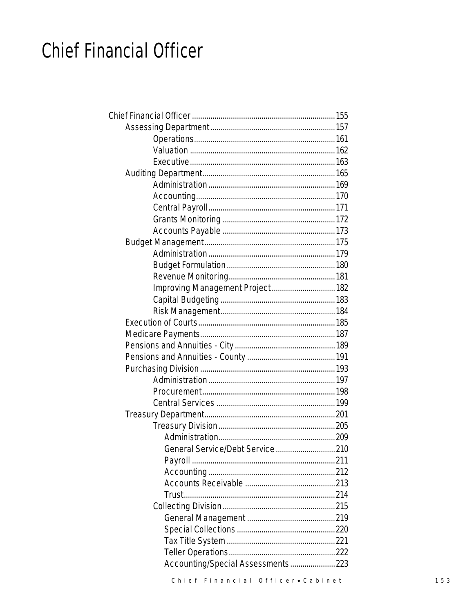# **Chief Financial Officer**

| Improving Management Project 182  |  |
|-----------------------------------|--|
|                                   |  |
|                                   |  |
|                                   |  |
|                                   |  |
|                                   |  |
|                                   |  |
|                                   |  |
|                                   |  |
|                                   |  |
|                                   |  |
|                                   |  |
|                                   |  |
|                                   |  |
| General Service/Debt Service 210  |  |
|                                   |  |
|                                   |  |
|                                   |  |
|                                   |  |
|                                   |  |
|                                   |  |
|                                   |  |
|                                   |  |
|                                   |  |
| Accounting/Special Assessments223 |  |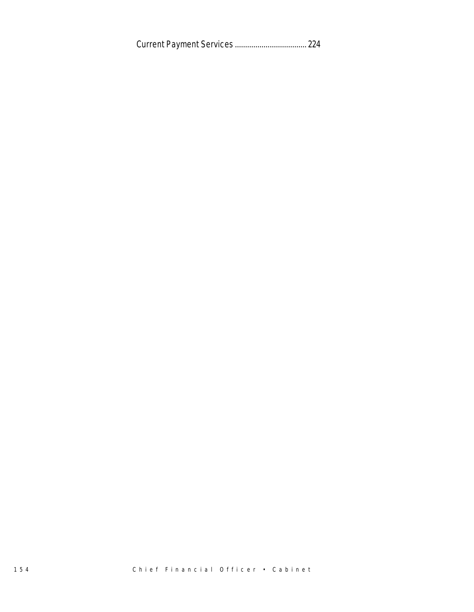Current Payment Services ................................... 224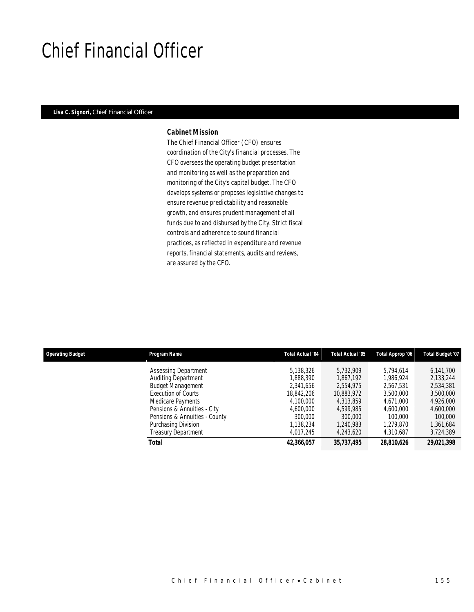# Chief Financial Officer

### *Lisa C. Signori, Chief Financial Officer*

#### *Cabinet Mission*

The Chief Financial Officer (CFO) ensures coordination of the City's financial processes. The CFO oversees the operating budget presentation and monitoring as well as the preparation and monitoring of the City's capital budget. The CFO develops systems or proposes legislative changes to ensure revenue predictability and reasonable growth, and ensures prudent management of all funds due to and disbursed by the City. Strict fiscal controls and adherence to sound financial practices, as reflected in expenditure and revenue reports, financial statements, audits and reviews, are assured by the CFO.

| <b>Operating Budget</b> | Program Name                  | <b>Total Actual '04</b> | Total Actual '05 | Total Approp '06 | Total Budget '07 |
|-------------------------|-------------------------------|-------------------------|------------------|------------------|------------------|
|                         | <b>Assessing Department</b>   | 5.138.326               | 5.732.909        | 5.794.614        | 6,141,700        |
|                         | <b>Auditing Department</b>    | 1,888,390               | 1,867,192        | 1.986.924        | 2,133,244        |
|                         | <b>Budget Management</b>      | 2.341.656               | 2,554,975        | 2,567,531        | 2,534,381        |
|                         | Execution of Courts           | 18,842,206              | 10,883,972       | 3,500,000        | 3,500,000        |
|                         | Medicare Payments             | 4,100,000               | 4,313,859        | 4.671.000        | 4,926,000        |
|                         | Pensions & Annuities - City   | 4,600,000               | 4,599,985        | 4,600,000        | 4,600,000        |
|                         | Pensions & Annuities - County | 300,000                 | 300,000          | 100,000          | 100,000          |
|                         | Purchasing Division           | 1,138,234               | 1,240,983        | 1.279.870        | 1,361,684        |
|                         | <b>Treasury Department</b>    | 4.017.245               | 4,243,620        | 4,310,687        | 3,724,389        |
|                         | Total                         | 42,366,057              | 35,737,495       | 28,810,626       | 29,021,398       |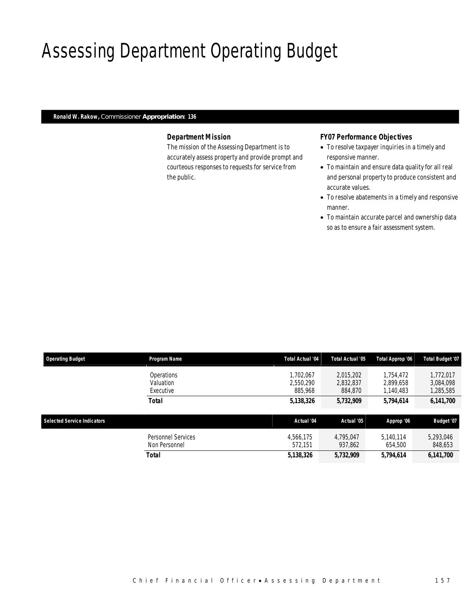# Assessing Department Operating Budget

## *Ronald W. Rakow, Commissioner Appropriation: 136*

## *Department Mission*

The mission of the Assessing Department is to accurately assess property and provide prompt and courteous responses to requests for service from the public.

### *FY07 Performance Objectives*

- To resolve taxpayer inquiries in a timely and responsive manner.
- To maintain and ensure data quality for all real and personal property to produce consistent and accurate values.
- To resolve abatements in a timely and responsive manner.
- To maintain accurate parcel and ownership data so as to ensure a fair assessment system.

| <b>Operating Budget</b>            | <b>Program Name</b>                  | Total Actual '04                  | Total Actual '05                  | Total Approp '06                    | <b>Total Budget '07</b>             |
|------------------------------------|--------------------------------------|-----------------------------------|-----------------------------------|-------------------------------------|-------------------------------------|
|                                    | Operations<br>Valuation<br>Executive | 1.702.067<br>2.550.290<br>885,968 | 2,015,202<br>2,832,837<br>884,870 | 1,754,472<br>2.899.658<br>1,140,483 | 1,772,017<br>3,084,098<br>1,285,585 |
|                                    | Total                                | 5,138,326                         | 5,732,909                         | 5,794,614                           | 6,141,700                           |
| <b>Selected Service Indicators</b> |                                      | Actual '04                        | Actual '05                        | Approp '06                          | Budget '07                          |
|                                    | Personnel Services<br>Non Personnel  | 4.566.175<br>572.151              | 4.795.047<br>937.862              | 5.140.114<br>654,500                | 5,293,046<br>848,653                |
|                                    | Total                                | 5,138,326                         | 5,732,909                         | 5,794,614                           | 6,141,700                           |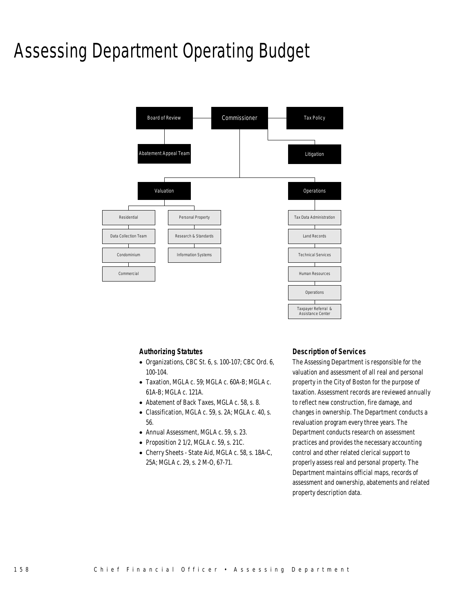# Assessing Department Operating Budget



### *Authorizing Statutes*

- Organizations, CBC St. 6, s. 100-107; CBC Ord. 6, 100-104.
- Taxation, MGLA c. 59; MGLA c. 60A-B; MGLA c. 61A-B; MGLA c. 121A.
- Abatement of Back Taxes, MGLA c. 58, s. 8.
- Classification, MGLA c. 59, s. 2A; MGLA c. 40, s. 56.
- Annual Assessment, MGLA c. 59, s. 23.
- Proposition 2 1/2, MGLA c. 59, s. 21C.
- Cherry Sheets State Aid, MGLA c. 58, s. 18A-C, 25A; MGLA c. 29, s. 2 M-O, 67-71.

### *Description of Services*

The Assessing Department is responsible for the valuation and assessment of all real and personal property in the City of Boston for the purpose of taxation. Assessment records are reviewed annually to reflect new construction, fire damage, and changes in ownership. The Department conducts a revaluation program every three years. The Department conducts research on assessment practices and provides the necessary accounting control and other related clerical support to properly assess real and personal property. The Department maintains official maps, records of assessment and ownership, abatements and related property description data.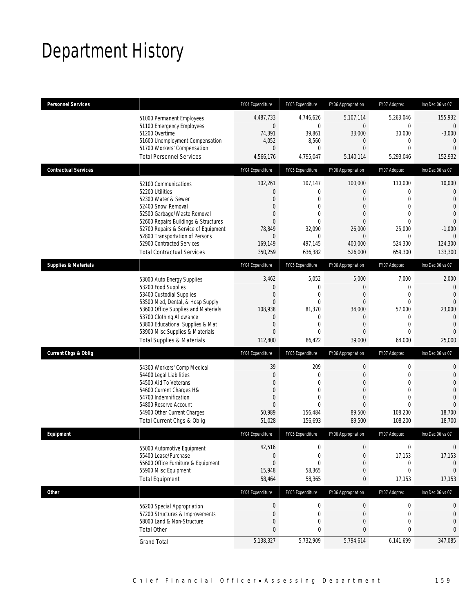# Department History

| <b>Personnel Services</b>       |                                       | FY04 Expenditure | FY05 Expenditure | FY06 Appropriation | FY07 Adopted     | Inc/Dec 06 vs 07 |
|---------------------------------|---------------------------------------|------------------|------------------|--------------------|------------------|------------------|
|                                 | 51000 Permanent Employees             | 4,487,733        | 4.746.626        | 5,107,114          | 5,263,046        | 155.932          |
|                                 | 51100 Emergency Employees             | $\mathbf 0$      | $\mathbf{0}$     | $\mathbf 0$        | $\mathbf{0}$     | $\theta$         |
|                                 | 51200 Overtime                        | 74,391           | 39,861           | 33,000             | 30,000           | $-3,000$         |
|                                 | 51600 Unemployment Compensation       | 4,052            | 8,560            | $\overline{0}$     | $\mathbf 0$      | $\overline{0}$   |
|                                 | 51700 Workers' Compensation           | $\overline{0}$   | $\mathbf{0}$     | $\overline{0}$     | $\Omega$         | $\Omega$         |
|                                 | <b>Total Personnel Services</b>       | 4,566,176        | 4,795,047        | 5,140,114          | 5,293,046        | 152,932          |
| <b>Contractual Services</b>     |                                       | FY04 Expenditure | FY05 Expenditure | FY06 Appropriation | FY07 Adopted     | Inc/Dec 06 vs 07 |
|                                 | 52100 Communications                  | 102,261          | 107,147          | 100,000            | 110,000          | 10,000           |
|                                 | 52200 Utilities                       | $\mathbf{0}$     | $\mathbf{0}$     | $\overline{0}$     | $\mathbf{0}$     | $\theta$         |
|                                 | 52300 Water & Sewer                   | $\overline{0}$   | $\mathbf{0}$     | $\overline{0}$     | $\Omega$         | $\mathbf{0}$     |
|                                 | 52400 Snow Removal                    | $\overline{0}$   | $\mathbf{0}$     | $\mathbf{0}$       | $\overline{0}$   | $\mathbf{0}$     |
|                                 | 52500 Garbage/Waste Removal           | $\overline{0}$   | 0                | $\Omega$           | $\theta$         | $\theta$         |
|                                 | 52600 Repairs Buildings & Structures  | $\Omega$         | $\theta$         | $\Omega$           | $\Omega$         | $\mathbf{0}$     |
|                                 | 52700 Repairs & Service of Equipment  | 78,849           | 32,090           | 26,000             | 25,000           | $-1,000$         |
|                                 | 52800 Transportation of Persons       | $\overline{0}$   | $\mathbf{0}$     | $\overline{0}$     | $\theta$         | $\Omega$         |
|                                 | 52900 Contracted Services             | 169,149          | 497,145          | 400,000            | 524,300          | 124,300          |
|                                 | <b>Total Contractual Services</b>     | 350,259          | 636,382          | 526,000            | 659,300          | 133,300          |
| <b>Supplies &amp; Materials</b> |                                       | FY04 Expenditure | FY05 Expenditure | FY06 Appropriation | FY07 Adopted     | Inc/Dec 06 vs 07 |
|                                 | 53000 Auto Energy Supplies            | 3,462            | 5,052            | 5,000              | 7,000            | 2,000            |
|                                 | 53200 Food Supplies                   | $\mathbf 0$      | $\mathbf{0}$     | $\mathbf 0$        | $\mathbf 0$      | $\overline{0}$   |
|                                 | 53400 Custodial Supplies              | $\mathbf 0$      | $\mathbf 0$      | $\mathbf 0$        | $\mathbf 0$      | $\mathbf{0}$     |
|                                 | 53500 Med, Dental, & Hosp Supply      | $\overline{0}$   | $\mathbf{0}$     | $\Omega$           | $\mathbf 0$      | $\mathbf 0$      |
|                                 | 53600 Office Supplies and Materials   | 108,938          | 81,370           | 34,000             | 57,000           | 23,000           |
|                                 | 53700 Clothing Allowance              | $\overline{0}$   | $\mathbf{0}$     | $\overline{0}$     | $\mathbf 0$      | $\overline{0}$   |
|                                 | 53800 Educational Supplies & Mat      | $\overline{0}$   | $\mathbf{0}$     | $\mathbf{0}$       | $\Omega$         | $\mathbf{0}$     |
|                                 | 53900 Misc Supplies & Materials       | $\overline{0}$   | $\mathbf{0}$     | $\overline{0}$     | $\Omega$         | $\theta$         |
|                                 | <b>Total Supplies &amp; Materials</b> | 112,400          | 86,422           | 39,000             | 64,000           | 25,000           |
| <b>Current Chgs &amp; Oblig</b> |                                       | FY04 Expenditure | FY05 Expenditure | FY06 Appropriation | FY07 Adopted     | Inc/Dec 06 vs 07 |
|                                 | 54300 Workers' Comp Medical           | 39               | 209              | $\mathbf 0$        | $\mathbf 0$      | 0                |
|                                 | 54400 Legal Liabilities               | $\overline{0}$   | $\mathbf{0}$     | $\overline{0}$     | $\mathbf{0}$     | $\mathbf{0}$     |
|                                 | 54500 Aid To Veterans                 | $\mathbf{0}$     | $\mathbf{0}$     | $\mathbf{0}$       | $\mathbf{0}$     | $\mathbf{0}$     |
|                                 | 54600 Current Charges H&I             | $\mathbf{0}$     | $\mathbf{0}$     | $\Omega$           | $\theta$         | $\theta$         |
|                                 | 54700 Indemnification                 | $\mathbf 0$      | $\mathbf{0}$     | $\overline{0}$     | $\mathbf{0}$     | $\Omega$         |
|                                 | 54800 Reserve Account                 | $\overline{0}$   | $\Omega$         | $\overline{0}$     | $\Omega$         | $\mathbf{0}$     |
|                                 | 54900 Other Current Charges           | 50,989           | 156,484          | 89,500             | 108,200          | 18,700           |
|                                 | Total Current Chgs & Oblig            | 51,028           | 156.693          | 89,500             | 108,200          | 18,700           |
| Equipment                       |                                       | FY04 Expenditure | FY05 Expenditure | FY06 Appropriation | FY07 Adopted     | Inc/Dec 06 vs 07 |
|                                 | 55000 Automotive Equipment            | 42,516           | $\mathbf 0$      | $\boldsymbol{0}$   | $\boldsymbol{0}$ | $\mathbf 0$      |
|                                 | 55400 Lease/Purchase                  | $\mathbf 0$      | 0                | $\overline{0}$     | 17,153           | 17,153           |
|                                 | 55600 Office Furniture & Equipment    | $\mathbf{0}$     | $\mathbf{0}$     | $\overline{0}$     | 0                | $\Omega$         |
|                                 | 55900 Misc Equipment                  | 15,948           | 58,365           | $\mathbf 0$        | $\mathbf 0$      | $\Omega$         |
|                                 | <b>Total Equipment</b>                | 58,464           | 58,365           | 0                  | 17,153           | 17,153           |
| <b>Other</b>                    |                                       | FY04 Expenditure | FY05 Expenditure | FY06 Appropriation | FY07 Adopted     | Inc/Dec 06 vs 07 |
|                                 | 56200 Special Appropriation           | 0                | 0                | $\boldsymbol{0}$   | $\boldsymbol{0}$ | 0                |
|                                 | 57200 Structures & Improvements       | $\mathbf 0$      | 0                | $\theta$           | 0                | $\mathbf 0$      |
|                                 | 58000 Land & Non-Structure            | $\mathbf 0$      | $\boldsymbol{0}$ | $\mathbf 0$        | $\mathbf{0}$     | $\mathbf{0}$     |
|                                 | <b>Total Other</b>                    | $\mathbf{0}$     | 0                | $\mathbf{0}$       | 0                | $\bf{0}$         |
|                                 | <b>Grand Total</b>                    | 5,138,327        | 5,732,909        | 5,794,614          | 6,141,699        | 347,085          |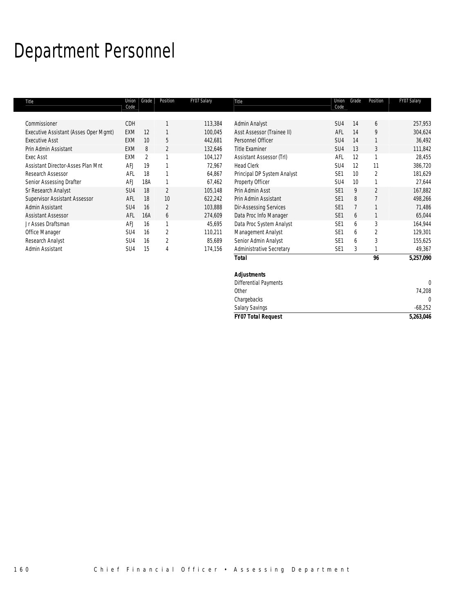# Department Personnel

| Title                                 | Union<br>Code   | Grade          | Position       | FY07 Salary | Title                                              | Union<br>Code   | Grade | Position       | FY07 Salary |
|---------------------------------------|-----------------|----------------|----------------|-------------|----------------------------------------------------|-----------------|-------|----------------|-------------|
| Commissioner                          | CDH             |                |                | 113,384     | Admin Analyst                                      | SU <sub>4</sub> | 14    | 6              | 257,953     |
| Executive Assistant (Asses Oper Mgmt) | <b>EXM</b>      | 12             |                | 100,045     | Asst Assessor (Trainee II)                         | AFL             | 14    | 9              | 304,624     |
| <b>Executive Asst</b>                 | <b>EXM</b>      | 10             | 5              | 442,681     | Personnel Officer                                  | SU4             | 14    |                | 36,492      |
| Prin Admin Assistant                  | <b>EXM</b>      | 8              | $\overline{2}$ | 132,646     | <b>Title Examiner</b>                              | SU4             | 13    | 3              | 111,842     |
| Exec Asst                             | EXM             | $\overline{2}$ |                | 104,127     | Assistant Assessor (Trl)                           | AFL             | 12    |                | 28,455      |
| Assistant Director-Asses Plan Mnt     | <b>AFJ</b>      | 19             |                | 72,967      | <b>Head Clerk</b>                                  | SU4             | 12    | 11             | 386,720     |
| Research Assessor                     | AFL             | 18             |                | 64,867      | Principal DP System Analyst                        | SE <sub>1</sub> | 10    | $\overline{2}$ | 181,629     |
| Senior Assessing Drafter              | AFJ             | 18A            |                | 67,462      | Property Officer                                   | SU4             | 10    |                | 27,644      |
| Sr Research Analyst                   | SU4             | 18             | $\overline{2}$ | 105,148     | Prin Admin Asst                                    | SE <sub>1</sub> | 9     | $\mathfrak{D}$ | 167,882     |
| <b>Supervisor Assistant Assessor</b>  | AFL             | 18             | 10             | 622,242     | Prin Admin Assistant                               | SE <sub>1</sub> | 8     |                | 498,266     |
| Admin Assistant                       | SU4             | 16             | $\overline{2}$ | 103,888     | <b>Dir-Assessing Services</b>                      | SE <sub>1</sub> |       |                | 71,486      |
| <b>Assistant Assessor</b>             | AFL             | 16A            | 6              | 274,609     | Data Proc Info Manager                             | SE <sub>1</sub> | 6     |                | 65,044      |
| Jr Asses Draftsman                    | AFJ             | 16             | 1              | 45,695      | Data Proc System Analyst                           | SE <sub>1</sub> | 6     | 3              | 164,944     |
| Office Manager                        | SU4             | 16             | $\overline{2}$ | 110,211     | Management Analyst                                 | SE <sub>1</sub> | 6     | $\overline{2}$ | 129,301     |
| Research Analyst                      | SU4             | 16             | $\overline{2}$ | 85,689      | Senior Admin Analyst                               | SE <sub>1</sub> | 6     | 3              | 155,625     |
| Admin Assistant                       | SU <sub>4</sub> | 15             | 4              | 174,156     | <b>Administrative Secretary</b>                    | SE <sub>1</sub> | 3     |                | 49,367      |
|                                       |                 |                |                |             | <b>Total</b>                                       |                 |       | 96             | 5,257,090   |
|                                       |                 |                |                |             | <b>Adjustments</b><br><b>Differential Payments</b> |                 |       |                | $\Omega$    |

Other 74,208

Chargebacks 0 Salary Savings -68,252 *FY07 Total Request 5,263,046*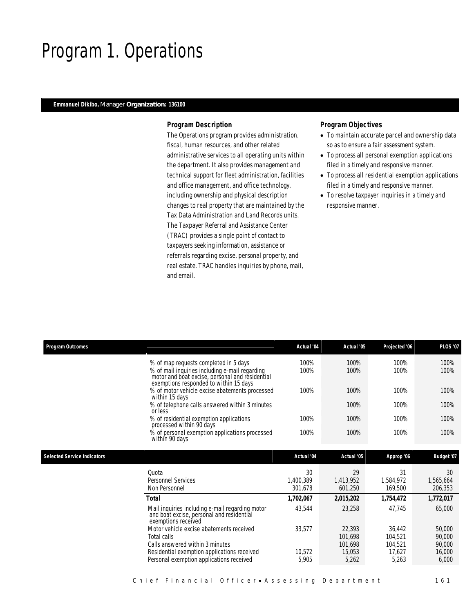# Program 1. Operations

### *Emmanuel Dikibo, Manager Organization: 136100*

#### *Program Description*

The Operations program provides administration, fiscal, human resources, and other related administrative services to all operating units within the department. It also provides management and technical support for fleet administration, facilities and office management, and office technology, including ownership and physical description changes to real property that are maintained by the Tax Data Administration and Land Records units. The Taxpayer Referral and Assistance Center (TRAC) provides a single point of contact to taxpayers seeking information, assistance or referrals regarding excise, personal property, and real estate. TRAC handles inquiries by phone, mail, and email.

- To maintain accurate parcel and ownership data so as to ensure a fair assessment system.
- To process all personal exemption applications filed in a timely and responsive manner.
- To process all residential exemption applications filed in a timely and responsive manner.
- To resolve taxpayer inquiries in a timely and responsive manner.

| <b>Program Outcomes</b>            |                                                                                                                                                                                      | Actual '04                 | Actual '05                 | Projected '06              | <b>PLOS '07</b>            |
|------------------------------------|--------------------------------------------------------------------------------------------------------------------------------------------------------------------------------------|----------------------------|----------------------------|----------------------------|----------------------------|
|                                    | % of map requests completed in 5 days<br>% of mail inquiries including e-mail regarding<br>motor and boat excise, personal and residential<br>exemptions responded to within 15 days | 100%<br>100%               | 100%<br>100%               | 100%<br>100%               | 100%<br>100%               |
|                                    | % of motor vehicle excise abatements processed<br>within 15 days                                                                                                                     | 100%                       | 100%                       | 100%                       | 100%                       |
|                                    | % of telephone calls answered within 3 minutes<br>or less                                                                                                                            |                            | 100%                       | 100%                       | 100%                       |
|                                    | % of residential exemption applications                                                                                                                                              | 100%                       | 100%                       | 100%                       | 100%                       |
|                                    | processed within 90 days<br>% of personal exemption applications processed<br>within 90 days                                                                                         | 100%                       | 100%                       | 100%                       | 100%                       |
| <b>Selected Service Indicators</b> |                                                                                                                                                                                      | Actual '04                 | Actual '05                 | Approp '06                 | Budget '07                 |
|                                    | Ouota<br><b>Personnel Services</b><br>Non Personnel                                                                                                                                  | 30<br>1,400,389<br>301.678 | 29<br>1,413,952<br>601,250 | 31<br>1,584,972<br>169,500 | 30<br>1,565,664<br>206,353 |
|                                    | <b>Total</b>                                                                                                                                                                         | 1,702,067                  | 2,015,202                  | 1,754,472                  | 1,772,017                  |
|                                    | Mail inquiries including e-mail regarding motor<br>and boat excise, personal and residential<br>exemptions received                                                                  | 43,544                     | 23,258                     | 47,745                     | 65,000                     |
|                                    | Motor vehicle excise abatements received<br>Total calls                                                                                                                              | 33,577                     | 22,393<br>101,698          | 36,442<br>104,521          | 50,000<br>90,000           |
|                                    | Calls answered within 3 minutes<br>Residential exemption applications received<br>Personal exemption applications received                                                           | 10,572<br>5,905            | 101.698<br>15,053<br>5,262 | 104,521<br>17.627<br>5,263 | 90,000<br>16,000<br>6,000  |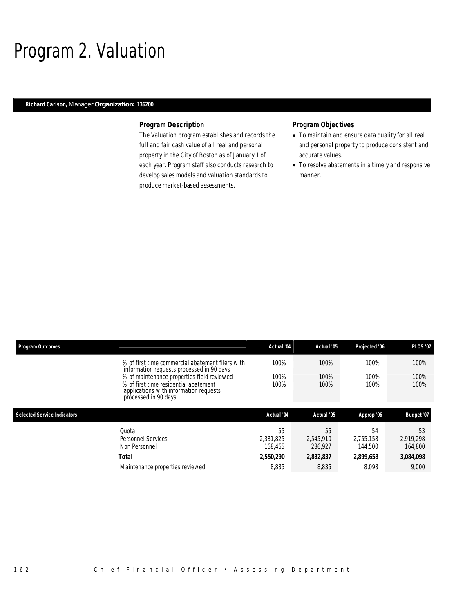# Program 2. Valuation

## *Richard Carlson, Manager Organization: 136200*

#### *Program Description*

The Valuation program establishes and records the full and fair cash value of all real and personal property in the City of Boston as of January 1 of each year. Program staff also conducts research to develop sales models and valuation standards to produce market-based assessments.

- To maintain and ensure data quality for all real and personal property to produce consistent and accurate values.
- To resolve abatements in a timely and responsive manner.

| <b>Program Outcomes</b>            |                                                                                                                                                       | Actual '04                 | Actual '05                 | Projected '06              | <b>PLOS '07</b>            |
|------------------------------------|-------------------------------------------------------------------------------------------------------------------------------------------------------|----------------------------|----------------------------|----------------------------|----------------------------|
|                                    | % of first time commercial abatement filers with<br>information requests processed in 90 days                                                         | 100%                       | 100%                       | 100%                       | 100%                       |
|                                    | % of maintenance properties field reviewed<br>% of first time residential abatement<br>applications with information requests<br>processed in 90 days | 100%<br>100%               | 100%<br>100%               | 100%<br>100%               | 100%<br>100%               |
|                                    |                                                                                                                                                       |                            |                            |                            |                            |
| <b>Selected Service Indicators</b> |                                                                                                                                                       | Actual '04                 | Actual '05                 | Approp '06                 | Budget '07                 |
|                                    | Ouota<br>Personnel Services<br>Non Personnel                                                                                                          | 55<br>2.381.825<br>168.465 | 55<br>2.545.910<br>286.927 | 54<br>2.755.158<br>144,500 | 53<br>2.919.298<br>164,800 |
|                                    | Total                                                                                                                                                 | 2,550,290                  | 2,832,837                  | 2,899,658                  | 3,084,098                  |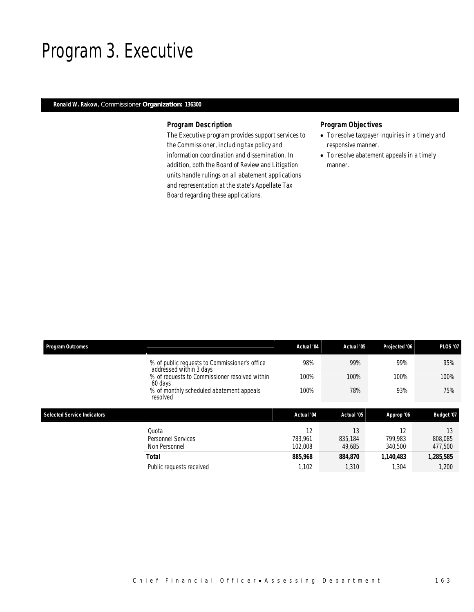## Program 3. Executive

## *Ronald W. Rakow, Commissioner Organization: 136300*

### *Program Description*

The Executive program provides support services to the Commissioner, including tax policy and information coordination and dissemination. In addition, both the Board of Review and Litigation units handle rulings on all abatement applications and representation at the state's Appellate Tax Board regarding these applications.

- To resolve taxpayer inquiries in a timely and responsive manner.
- To resolve abatement appeals in a timely manner.

| <b>Program Outcomes</b>            |                                                                          | Actual '04               | Actual '05              | Projected '06            | <b>PLOS '07</b>          |
|------------------------------------|--------------------------------------------------------------------------|--------------------------|-------------------------|--------------------------|--------------------------|
|                                    | % of public requests to Commissioner's office<br>addressed within 3 days | 98%                      | 99%                     | 99%                      | 95%                      |
|                                    | % of requests to Commissioner resolved within<br>60 days                 | 100%                     | 100%                    | 100%                     | 100%                     |
|                                    | % of monthly scheduled abatement appeals<br>resolved                     | 100%                     | 78%                     | 93%                      | 75%                      |
|                                    |                                                                          |                          |                         |                          |                          |
| <b>Selected Service Indicators</b> |                                                                          | Actual '04               | Actual '05              | Approp '06               | Budget '07               |
|                                    | Quota<br><b>Personnel Services</b><br>Non Personnel                      | 12<br>783.961<br>102,008 | 13<br>835,184<br>49,685 | 12<br>799.983<br>340,500 | 13<br>808,085<br>477,500 |
|                                    | <b>Total</b>                                                             | 885,968                  | 884,870                 | 1,140,483                | 1,285,585                |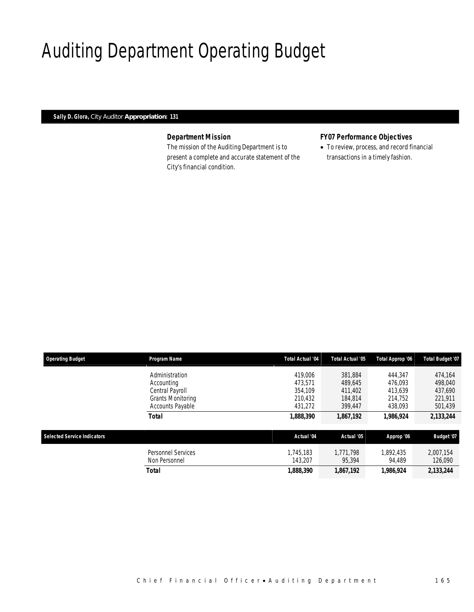# Auditing Department Operating Budget

*Sally D. Glora, City Auditor Appropriation: 131* 

## *Department Mission*

The mission of the Auditing Department is to present a complete and accurate statement of the City's financial condition.

## *FY07 Performance Objectives*

• To review, process, and record financial transactions in a timely fashion.

| <b>Operating Budget</b>            | Program Name              | <b>Total Actual '04</b> | Total Actual '05 | Total Approp '06 | Total Budget '07 |
|------------------------------------|---------------------------|-------------------------|------------------|------------------|------------------|
|                                    | Administration            | 419,006                 | 381.884          | 444.347          | 474.164          |
|                                    | Accounting                | 473.571                 | 489.645          | 476.093          | 498.040          |
|                                    | Central Payroll           | 354.109                 | 411.402          | 413.639          | 437,690          |
|                                    | Grants Monitoring         | 210,432                 | 184,814          | 214,752          | 221,911          |
|                                    | Accounts Payable          | 431,272                 | 399,447          | 438,093          | 501,439          |
|                                    | <b>Total</b>              | 1,888,390               | 1,867,192        | 1.986.924        | 2,133,244        |
| <b>Selected Service Indicators</b> |                           | Actual '04              | Actual '05       | Approp '06       | Budget '07       |
|                                    |                           |                         |                  |                  |                  |
|                                    | <b>Personnel Services</b> | 1.745.183               | 1.771.798        | 1.892.435        | 2.007.154        |
|                                    | Non Personnel             | 143.207                 | 95.394           | 94,489           | 126,090          |
|                                    | <b>Total</b>              | 1,888,390               | 1,867,192        | 1,986,924        | 2,133,244        |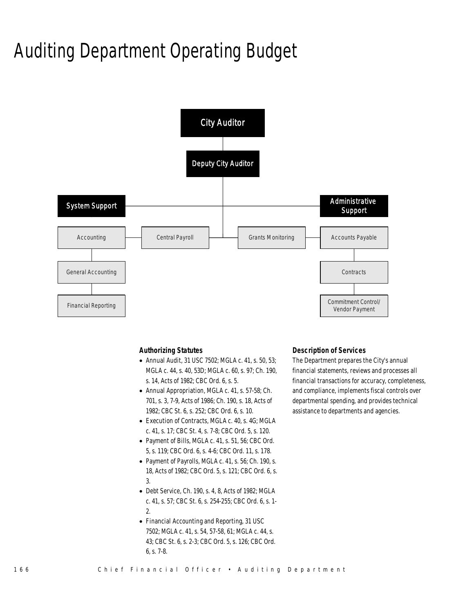# Auditing Department Operating Budget



#### *Authorizing Statutes*

- Annual Audit, 31 USC 7502; MGLA c. 41, s. 50, 53; MGLA c. 44, s. 40, 53D; MGLA c. 60, s. 97; Ch. 190, s. 14, Acts of 1982; CBC Ord. 6, s. 5.
- Annual Appropriation, MGLA c. 41, s. 57-58; Ch. 701, s. 3, 7-9, Acts of 1986; Ch. 190, s. 18, Acts of 1982; CBC St. 6, s. 252; CBC Ord. 6, s. 10.
- Execution of Contracts, MGLA c. 40, s. 4G; MGLA c. 41, s. 17; CBC St. 4, s. 7-8; CBC Ord. 5, s. 120.
- Payment of Bills, MGLA c. 41, s. 51, 56; CBC Ord. 5, s. 119; CBC Ord. 6, s. 4-6; CBC Ord. 11, s. 178.
- Payment of Payrolls, MGLA c. 41, s. 56; Ch. 190, s. 18, Acts of 1982; CBC Ord. 5, s. 121; CBC Ord. 6, s. 3.
- Debt Service, Ch. 190, s. 4, 8, Acts of 1982; MGLA c. 41, s. 57; CBC St. 6, s. 254-255; CBC Ord. 6, s. 1- 2.
- Financial Accounting and Reporting, 31 USC 7502; MGLA c. 41, s. 54, 57-58, 61; MGLA c. 44, s. 43; CBC St. 6, s. 2-3; CBC Ord. 5, s. 126; CBC Ord. 6, s. 7-8.

### *Description of Services*

The Department prepares the City's annual financial statements, reviews and processes all financial transactions for accuracy, completeness, and compliance, implements fiscal controls over departmental spending, and provides technical assistance to departments and agencies.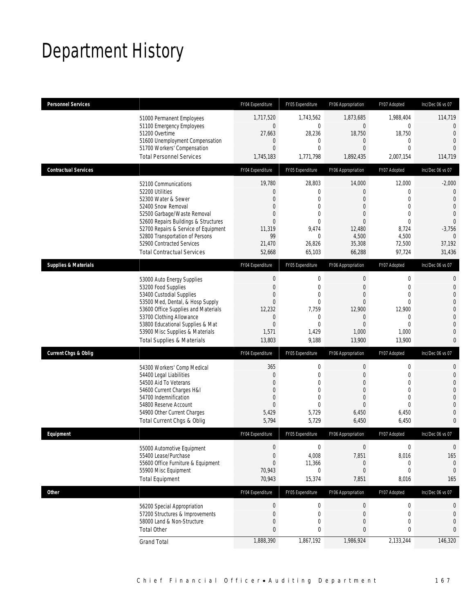# Department History

| <b>Personnel Services</b>       |                                       | FY04 Expenditure | FY05 Expenditure | FY06 Appropriation | FY07 Adopted     | Inc/Dec 06 vs 07 |
|---------------------------------|---------------------------------------|------------------|------------------|--------------------|------------------|------------------|
|                                 | 51000 Permanent Employees             | 1,717,520        | 1,743,562        | 1,873,685          | 1,988,404        | 114,719          |
|                                 | 51100 Emergency Employees             | $\mathbf 0$      | $\mathbf{0}$     | $\boldsymbol{0}$   | 0                | $\mathbf 0$      |
|                                 | 51200 Overtime                        | 27,663           | 28,236           | 18,750             | 18,750           | $\overline{0}$   |
|                                 | 51600 Unemployment Compensation       | $\mathbf{0}$     | $\mathbf{0}$     | 0                  | $\mathbf 0$      | $\Omega$         |
|                                 | 51700 Workers' Compensation           | $\mathbf{0}$     | $\mathbf{0}$     | $\overline{0}$     | $\overline{0}$   | $\Omega$         |
|                                 | <b>Total Personnel Services</b>       | 1,745,183        | 1,771,798        | 1,892,435          | 2,007,154        | 114,719          |
| <b>Contractual Services</b>     |                                       | FY04 Expenditure | FY05 Expenditure | FY06 Appropriation | FY07 Adopted     | Inc/Dec 06 vs 07 |
|                                 | 52100 Communications                  | 19,780           | 28,803           | 14,000             | 12,000           | $-2,000$         |
|                                 | 52200 Utilities                       | $\mathbf{0}$     | $\mathbf{0}$     | $\overline{0}$     | $\mathbf 0$      | $\overline{0}$   |
|                                 | 52300 Water & Sewer                   | $\mathbf{0}$     | $\mathbf{0}$     | $\mathbf{0}$       | $\overline{0}$   | $\overline{0}$   |
|                                 | 52400 Snow Removal                    | $\overline{0}$   | $\mathbf{0}$     | $\mathbf{0}$       | $\overline{0}$   | $\overline{0}$   |
|                                 | 52500 Garbage/Waste Removal           | $\mathbf{0}$     | $\mathbf{0}$     | $\mathbf{0}$       | $\overline{0}$   | $\overline{0}$   |
|                                 | 52600 Repairs Buildings & Structures  | $\Omega$         | $\theta$         | $\Omega$           | $\Omega$         | $\Omega$         |
|                                 | 52700 Repairs & Service of Equipment  | 11,319           | 9,474            | 12,480             | 8,724            | $-3,756$         |
|                                 | 52800 Transportation of Persons       | 99               | $\mathbf{0}$     | 4,500              | 4,500            | $\overline{0}$   |
|                                 | 52900 Contracted Services             | 21,470           | 26,826           | 35,308             | 72,500           | 37,192           |
|                                 | <b>Total Contractual Services</b>     | 52,668           | 65,103           | 66,288             | 97,724           | 31,436           |
| <b>Supplies &amp; Materials</b> |                                       | FY04 Expenditure | FY05 Expenditure | FY06 Appropriation | FY07 Adopted     | Inc/Dec 06 vs 07 |
|                                 | 53000 Auto Energy Supplies            | $\mathbf 0$      | $\mathbf 0$      | $\boldsymbol{0}$   | $\mathbf 0$      | 0                |
|                                 | 53200 Food Supplies                   | $\mathbf{0}$     | $\mathbf{0}$     | $\mathbf{0}$       | $\mathbf 0$      | 0                |
|                                 | 53400 Custodial Supplies              | $\mathbf{0}$     | $\mathbf{0}$     | $\mathbf{0}$       | $\overline{0}$   | 0                |
|                                 | 53500 Med, Dental, & Hosp Supply      | $\mathbf{0}$     | $\mathbf{0}$     | $\overline{0}$     | $\overline{0}$   | $\mathbf 0$      |
|                                 | 53600 Office Supplies and Materials   | 12,232           | 7,759            | 12,900             | 12,900           | $\overline{0}$   |
|                                 | 53700 Clothing Allowance              | $\mathbf{0}$     | $\mathbf{0}$     | $\mathbf{0}$       | $\mathbf 0$      | 0                |
|                                 | 53800 Educational Supplies & Mat      | $\overline{0}$   | $\mathbf{0}$     | $\mathbf{0}$       | $\Omega$         | 0                |
|                                 | 53900 Misc Supplies & Materials       | 1,571            | 1,429            | 1,000              | 1,000            | 0                |
|                                 | <b>Total Supplies &amp; Materials</b> | 13,803           | 9,188            | 13,900             | 13,900           | 0                |
| <b>Current Chgs &amp; Oblig</b> |                                       | FY04 Expenditure | FY05 Expenditure | FY06 Appropriation | FY07 Adopted     | Inc/Dec 06 vs 07 |
|                                 | 54300 Workers' Comp Medical           | 365              | $\mathbf 0$      | 0                  | 0                | 0                |
|                                 | 54400 Legal Liabilities               | $\mathbf{0}$     | $\mathbf{0}$     | $\mathbf{0}$       | $\mathbf 0$      | 0                |
|                                 | 54500 Aid To Veterans                 | $\mathbf{0}$     | $\mathbf{0}$     | $\mathbf{0}$       | 0                | 0                |
|                                 | 54600 Current Charges H&I             | $\mathbf{0}$     | $\theta$         | $\mathbf{0}$       | $\mathbf 0$      | 0                |
|                                 | 54700 Indemnification                 | $\overline{0}$   | $\mathbf{0}$     | $\mathbf{0}$       | $\overline{0}$   | $\Omega$         |
|                                 | 54800 Reserve Account                 | $\mathbf{0}$     | $\theta$         | $\Omega$           | $\Omega$         | 0                |
|                                 | 54900 Other Current Charges           | 5,429            | 5,729            | 6,450              | 6,450            | 0                |
|                                 | Total Current Chgs & Oblig            | 5,794            | 5,729            | 6,450              | 6,450            | 0                |
| Equipment                       |                                       | FY04 Expenditure | FY05 Expenditure | FY06 Appropriation | FY07 Adopted     | Inc/Dec 06 vs 07 |
|                                 | 55000 Automotive Equipment            | $\boldsymbol{0}$ | $\mathbf 0$      | $\boldsymbol{0}$   | $\boldsymbol{0}$ | $\boldsymbol{0}$ |
|                                 | 55400 Lease/Purchase                  | $\mathbf{0}$     | 4,008            | 7,851              | 8,016            | 165              |
|                                 | 55600 Office Furniture & Equipment    | $\mathbf{0}$     | 11,366           | 0                  | 0                | $\mathbf 0$      |
|                                 | 55900 Misc Equipment                  | 70,943           | $\mathbf{0}$     | 0                  | 0                | $\theta$         |
|                                 | <b>Total Equipment</b>                | 70,943           | 15,374           | 7,851              | 8,016            | 165              |
| <b>Other</b>                    |                                       | FY04 Expenditure | FY05 Expenditure | FY06 Appropriation | FY07 Adopted     | Inc/Dec 06 vs 07 |
|                                 | 56200 Special Appropriation           | $\boldsymbol{0}$ | $\boldsymbol{0}$ | $\overline{0}$     | $\boldsymbol{0}$ | 0                |
|                                 | 57200 Structures & Improvements       | $\mathbf 0$      | $\mathbf 0$      | $\boldsymbol{0}$   | $\mathbf 0$      | $\mathbf 0$      |
|                                 | 58000 Land & Non-Structure            | $\boldsymbol{0}$ | $\mathbf 0$      | $\mathbf 0$        | $\mathbf 0$      | $\overline{0}$   |
|                                 | <b>Total Other</b>                    | $\mathbf{0}$     | 0                | 0                  | 0                | 0                |
|                                 | <b>Grand Total</b>                    | 1,888,390        | 1,867,192        | 1,986,924          | 2,133,244        | 146,320          |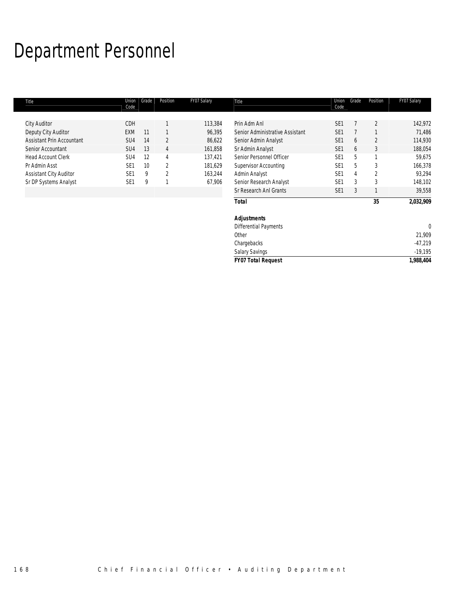# Department Personnel

| Title                         | Union<br>Code   | Grade | Position | FY07 Salary | Title                           | Union<br>Code   | Grade | Position | FY07 Salary |
|-------------------------------|-----------------|-------|----------|-------------|---------------------------------|-----------------|-------|----------|-------------|
| <b>City Auditor</b>           | CDH             |       |          | 113,384     | Prin Adm Anl                    | SE <sub>1</sub> |       | 2        | 142,972     |
| Deputy City Auditor           | EXM             | 11    |          | 96,395      | Senior Administrative Assistant | SE <sub>1</sub> |       |          | 71,486      |
| Assistant Prin Accountant     | SU4             | 14    | 2        | 86,622      | Senior Admin Analyst            | SE <sub>1</sub> | 6     | 2        | 114,930     |
| Senior Accountant             | SU <sub>4</sub> | 13    | 4        | 161,858     | Sr Admin Analyst                | SE <sub>1</sub> | 6     | 3        | 188,054     |
| <b>Head Account Clerk</b>     | SU <sub>4</sub> | 12    | 4        | 137,421     | Senior Personnel Officer        | SE <sub>1</sub> | 5     |          | 59,675      |
| Pr Admin Asst                 | SE <sub>1</sub> | 10    | 2        | 181,629     | Supervisor Accounting           | SE <sub>1</sub> | 5     | 3        | 166,378     |
| <b>Assistant City Auditor</b> | SE <sub>1</sub> | 9     | 2        | 163,244     | Admin Analyst                   | SE <sub>1</sub> | 4     | 2        | 93,294      |
| Sr DP Systems Analyst         | SE <sub>1</sub> | 9     |          | 67,906      | Senior Research Analyst         | SE <sub>1</sub> | 3     | 3        | 148,102     |
|                               |                 |       |          |             | Sr Research Anl Grants          | SE <sub>1</sub> | 3     |          | 39,558      |
|                               |                 |       |          |             |                                 |                 |       |          |             |
|                               |                 |       |          |             | <b>Total</b>                    |                 |       | 35       | 2,032,909   |
|                               |                 |       |          |             | <b>Adjustments</b>              |                 |       |          |             |
|                               |                 |       |          |             | Differential Payments           |                 |       |          | $\Omega$    |
|                               |                 |       |          |             | Other                           |                 |       |          | 21,909      |
|                               |                 |       |          |             | Chargebacks                     |                 |       |          | $-47,219$   |
|                               |                 |       |          |             | <b>Salary Savings</b>           |                 |       |          | $-19,195$   |
|                               |                 |       |          |             | <b>FY07 Total Request</b>       |                 |       |          | 1,988,404   |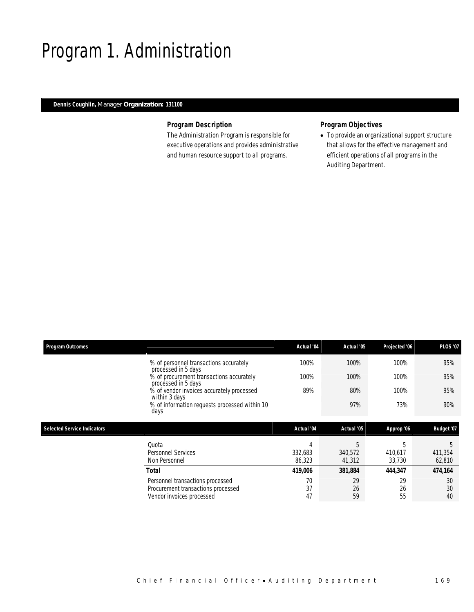# Program 1. Administration

## *Dennis Coughlin, Manager Organization: 131100*

### *Program Description*

The Administration Program is responsible for executive operations and provides administrative and human resource support to all programs.

## *Program Objectives*

• To provide an organizational support structure that allows for the effective management and efficient operations of all programs in the Auditing Department.

| <b>Program Outcomes</b>            |                                                                 | Actual '04        | Actual '05        | Projected '06     | <b>PLOS '07</b>   |
|------------------------------------|-----------------------------------------------------------------|-------------------|-------------------|-------------------|-------------------|
|                                    | % of personnel transactions accurately<br>processed in 5 days   | 100%              | 100%              | 100%              | 95%               |
|                                    | % of procurement transactions accurately<br>processed in 5 days | 100%              | 100%              | 100%              | 95%               |
|                                    | % of vendor invoices accurately processed<br>within 3 days      | 89%               | 80%               | 100%              | 95%               |
|                                    | % of information requests processed within 10<br>days           |                   | 97%               | 73%               | 90%               |
| <b>Selected Service Indicators</b> |                                                                 | Actual '04        | Actual '05        | Approp '06        | Budget '07        |
|                                    | Quota                                                           | 4                 |                   |                   |                   |
|                                    |                                                                 |                   | 5                 | 5                 | 5                 |
|                                    | Personnel Services<br>Non Personnel                             | 332,683<br>86,323 | 340,572<br>41,312 | 410,617<br>33,730 | 411,354<br>62,810 |
|                                    | <b>Total</b>                                                    | 419,006           | 381,884           | 444,347           | 474,164           |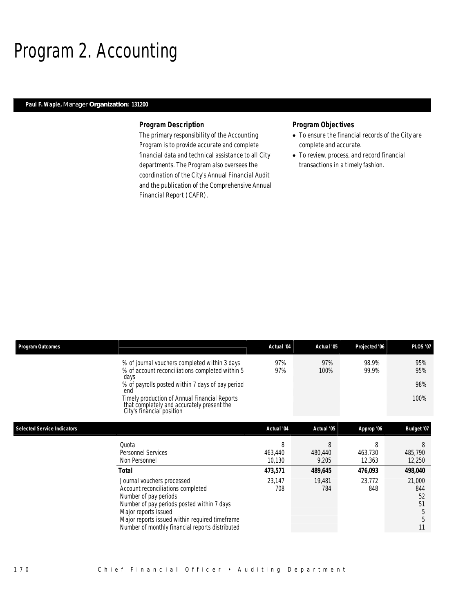# Program 2. Accounting

### *Paul F. Waple, Manager Organization: 131200*

#### *Program Description*

The primary responsibility of the Accounting Program is to provide accurate and complete financial data and technical assistance to all City departments. The Program also oversees the coordination of the City's Annual Financial Audit and the publication of the Comprehensive Annual Financial Report (CAFR).

- To ensure the financial records of the City are complete and accurate.
- To review, process, and record financial transactions in a timely fashion.

| <b>Program Outcomes</b>            |                                                                                                                                                                                                                                                                     | Actual '04        | Actual '05       | Projected '06     | <b>PLOS '07</b>                           |
|------------------------------------|---------------------------------------------------------------------------------------------------------------------------------------------------------------------------------------------------------------------------------------------------------------------|-------------------|------------------|-------------------|-------------------------------------------|
|                                    | % of journal vouchers completed within 3 days<br>% of account reconciliations completed within 5<br>days                                                                                                                                                            | 97%<br>97%        | 97%<br>100%      | 98.9%<br>99.9%    | 95%<br>95%                                |
|                                    | % of payrolls posted within 7 days of pay period<br>end                                                                                                                                                                                                             |                   |                  |                   | 98%                                       |
|                                    | Timely production of Annual Financial Reports<br>that completely and accurately present the<br>City's financial position                                                                                                                                            |                   |                  |                   | 100%                                      |
| <b>Selected Service Indicators</b> |                                                                                                                                                                                                                                                                     | Actual '04        | Actual '05       | Approp '06        | <b>Budget '07</b>                         |
|                                    | Quota                                                                                                                                                                                                                                                               | 8                 | 8                | 8                 | 8                                         |
|                                    | <b>Personnel Services</b><br>Non Personnel                                                                                                                                                                                                                          | 463,440<br>10,130 | 480,440<br>9,205 | 463,730<br>12,363 | 485,790<br>12,250                         |
|                                    | Total                                                                                                                                                                                                                                                               | 473,571           | 489,645          | 476,093           | 498,040                                   |
|                                    | Journal vouchers processed<br>Account reconciliations completed<br>Number of pay periods<br>Number of pay periods posted within 7 days<br>Major reports issued<br>Major reports issued within required timeframe<br>Number of monthly financial reports distributed | 23,147<br>708     | 19,481<br>784    | 23,772<br>848     | 21,000<br>844<br>52<br>51<br>5<br>5<br>11 |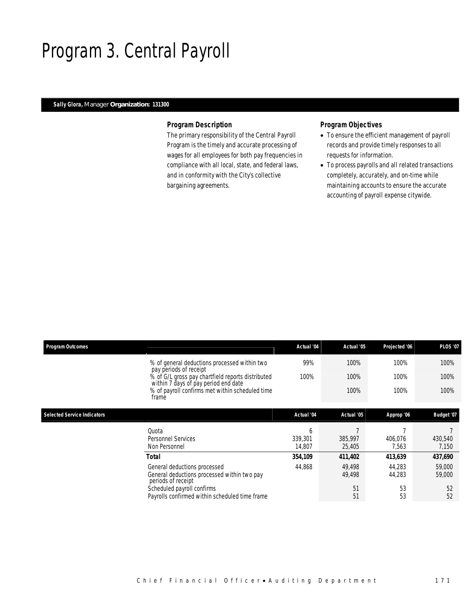# Program 3. Central Payroll

## *Sally Glora, Manager Organization: 131300*

### *Program Description*

The primary responsibility of the Central Payroll Program is the timely and accurate processing of wages for all employees for both pay frequencies in compliance with all local, state, and federal laws, and in conformity with the City's collective bargaining agreements.

- To ensure the efficient management of payroll records and provide timely responses to all requests for information.
- To process payrolls and all related transactions completely, accurately, and on-time while maintaining accounts to ensure the accurate accounting of payroll expense citywide.

| <b>Program Outcomes</b>            |                                                                                                   | Actual '04             | Actual '05        | Projected '06    | <b>PLOS '07</b>  |
|------------------------------------|---------------------------------------------------------------------------------------------------|------------------------|-------------------|------------------|------------------|
|                                    | % of general deductions processed within two<br>pay periods of receipt                            | 99%                    | 100%              | 100%             | 100%             |
|                                    | % of G/L gross pay chartfield reports distributed<br>within 7 days of pay period end date         | 100%                   | 100%              | 100%             | 100%             |
|                                    | % of payroll confirms met within scheduled time<br>frame                                          |                        | 100%              | 100%             | 100%             |
| <b>Selected Service Indicators</b> |                                                                                                   | Actual '04             | Actual '05        | Approp '06       | Budget '07       |
|                                    |                                                                                                   |                        |                   |                  |                  |
|                                    | Quota<br><b>Personnel Services</b><br>Non Personnel                                               | h<br>339.301<br>14,807 | 385,997<br>25,405 | 406.076<br>7,563 | 430,540<br>7,150 |
|                                    | Total                                                                                             | 354,109                | 411,402           | 413,639          | 437,690          |
|                                    | General deductions processed<br>General deductions processed within two pay<br>periods of receipt | 44,868                 | 49.498<br>49,498  | 44,283<br>44,283 | 59,000<br>59,000 |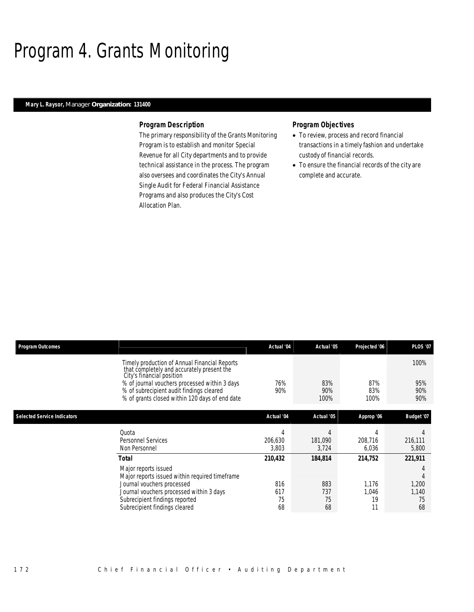# Program 4. Grants Monitoring

## *Mary L. Raysor, Manager Organization: 131400*

#### *Program Description*

The primary responsibility of the Grants Monitoring Program is to establish and monitor Special Revenue for all City departments and to provide technical assistance in the process. The program also oversees and coordinates the City's Annual Single Audit for Federal Financial Assistance Programs and also produces the City's Cost Allocation Plan.

- To review, process and record financial transactions in a timely fashion and undertake custody of financial records.
- To ensure the financial records of the city are complete and accurate.

| <b>Program Outcomes</b>            |                                                                                                                                                                           | Actual '04       | Actual '05       | Projected '06    | <b>PLOS '07</b>  |
|------------------------------------|---------------------------------------------------------------------------------------------------------------------------------------------------------------------------|------------------|------------------|------------------|------------------|
|                                    | Timely production of Annual Financial Reports<br>that completely and accurately present the<br>City's financial position<br>% of journal vouchers processed within 3 days | 76%              | 83%              | 87%              | 100%<br>95%      |
|                                    | % of subrecipient audit findings cleared<br>% of grants closed within 120 days of end date                                                                                | 90%              | 90%<br>100%      | 83%<br>100%      | 90%<br>90%       |
| <b>Selected Service Indicators</b> |                                                                                                                                                                           | Actual '04       | Actual '05       | Approp '06       | Budget '07       |
|                                    | Quota                                                                                                                                                                     | 4                | 4                |                  |                  |
|                                    | Personnel Services<br>Non Personnel                                                                                                                                       | 206.630<br>3,803 | 181.090<br>3,724 | 208,716<br>6,036 | 216,111<br>5,800 |
|                                    | <b>Total</b>                                                                                                                                                              | 210,432          | 184,814          | 214,752          | 221,911          |
|                                    | Major reports issued<br>Major reports issued within required timeframe                                                                                                    |                  |                  |                  |                  |
|                                    | Journal vouchers processed<br>Journal vouchers processed within 3 days                                                                                                    | 816<br>617       | 883<br>737       | 1.176<br>1.046   | 1,200<br>1,140   |
|                                    | Subrecipient findings reported                                                                                                                                            | 75<br>68         | 75               | 19<br>11         | 75<br>68         |
|                                    | Subrecipient findings cleared                                                                                                                                             |                  | 68               |                  |                  |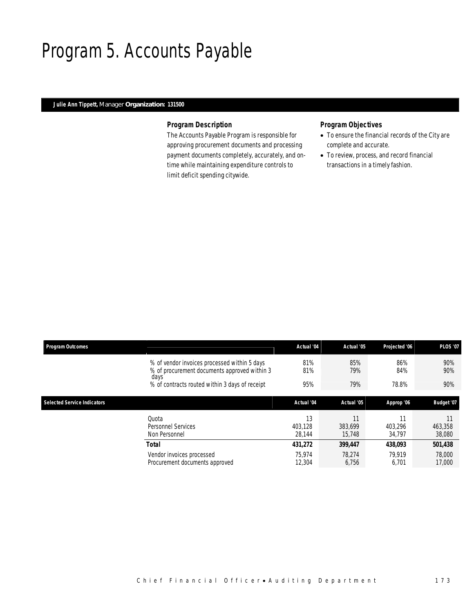# Program 5. Accounts Payable

## *Julie Ann Tippett, Manager Organization: 131500*

### *Program Description*

The Accounts Payable Program is responsible for approving procurement documents and processing payment documents completely, accurately, and ontime while maintaining expenditure controls to limit deficit spending citywide.

- To ensure the financial records of the City are complete and accurate.
- To review, process, and record financial transactions in a timely fashion.

| <b>Program Outcomes</b>            |                                                                                                      | Actual '04              | Actual '05        | Projected '06           | <b>PLOS '07</b>   |
|------------------------------------|------------------------------------------------------------------------------------------------------|-------------------------|-------------------|-------------------------|-------------------|
|                                    | % of vendor invoices processed within 5 days<br>% of procurement documents approved within 3<br>days | 81%<br>81%              | 85%<br>79%        | 86%<br>84%              | 90%<br>90%        |
|                                    | % of contracts routed within 3 days of receipt                                                       | 95%                     | 79%               | 78.8%                   | 90%               |
| <b>Selected Service Indicators</b> |                                                                                                      | Actual '04              | Actual '05        | Approp '06              | Budget '07        |
|                                    | Quota<br>Personnel Services<br>Non Personnel                                                         | 13<br>403.128<br>28.144 | 383.699<br>15.748 | 11<br>403.296<br>34,797 | 463,358<br>38,080 |
|                                    | Total                                                                                                | 431,272                 | 399,447           | 438.093                 | 501,438           |
|                                    | Vendor invoices processed<br>Procurement documents approved                                          | 75.974<br>12,304        | 78.274<br>6,756   | 79.919<br>6,701         | 78,000<br>17,000  |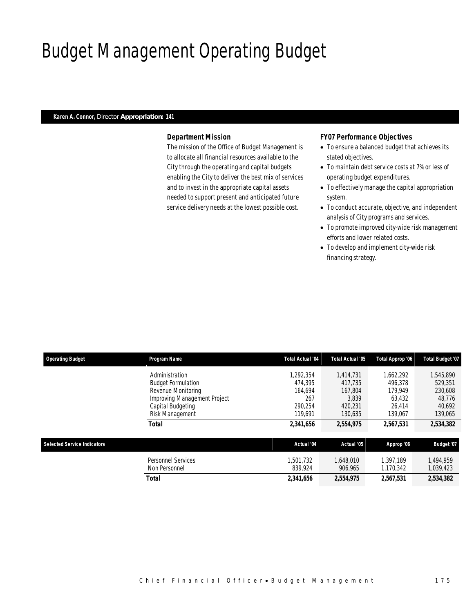# Budget Management Operating Budget

### *Karen A. Connor, Director Appropriation: 141*

### *Department Mission*

The mission of the Office of Budget Management is to allocate all financial resources available to the City through the operating and capital budgets enabling the City to deliver the best mix of services and to invest in the appropriate capital assets needed to support present and anticipated future service delivery needs at the lowest possible cost.

### *FY07 Performance Objectives*

- To ensure a balanced budget that achieves its stated objectives.
- To maintain debt service costs at 7% or less of operating budget expenditures.
- To effectively manage the capital appropriation system.
- To conduct accurate, objective, and independent analysis of City programs and services.
- To promote improved city-wide risk management efforts and lower related costs.
- To develop and implement city-wide risk financing strategy.

| <b>Operating Budget</b>            | <b>Program Name</b>          | <b>Total Actual '04</b> | Total Actual '05 | Total Approp '06 | Total Budget '07 |
|------------------------------------|------------------------------|-------------------------|------------------|------------------|------------------|
|                                    | Administration               | 1.292.354               | 1.414.731        | 1,662,292        | 1,545,890        |
|                                    | <b>Budget Formulation</b>    | 474.395                 | 417.735          | 496.378          | 529.351          |
|                                    | Revenue Monitoring           | 164.694                 | 167.804          | 179.949          | 230,608          |
|                                    | Improving Management Project | 267                     | 3,839            | 63,432           | 48,776           |
|                                    | Capital Budgeting            | 290.254                 | 420.231          | 26.414           | 40,692           |
|                                    | Risk Management              | 119,691                 | 130,635          | 139,067          | 139,065          |
|                                    | <b>Total</b>                 | 2,341,656               | 2,554,975        | 2,567,531        | 2,534,382        |
| <b>Selected Service Indicators</b> |                              | Actual '04              | Actual '05       | Approp '06       | Budget '07       |
|                                    |                              |                         |                  |                  |                  |
|                                    | <b>Personnel Services</b>    | 1.501.732               | 1.648.010        | 1.397.189        | 1.494.959        |
|                                    | Non Personnel                | 839.924                 | 906.965          | 1.170.342        | 1,039,423        |
|                                    | Total                        | 2,341,656               | 2,554,975        | 2,567,531        | 2,534,382        |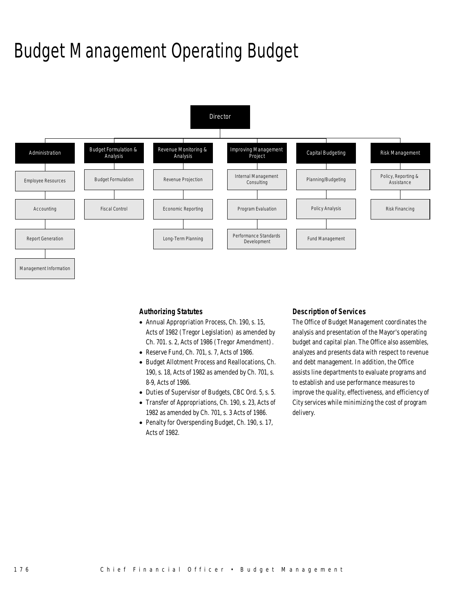# Budget Management Operating Budget



*Authorizing Statutes* 

- Annual Appropriation Process, Ch. 190, s. 15, Acts of 1982 (Tregor Legislation) as amended by Ch. 701. s. 2, Acts of 1986 (Tregor Amendment).
- Reserve Fund, Ch. 701, s. 7, Acts of 1986.
- Budget Allotment Process and Reallocations, Ch. 190, s. 18, Acts of 1982 as amended by Ch. 701, s. 8-9, Acts of 1986.
- Duties of Supervisor of Budgets, CBC Ord. 5, s. 5.
- Transfer of Appropriations, Ch. 190, s. 23, Acts of 1982 as amended by Ch. 701, s. 3 Acts of 1986.
- Penalty for Overspending Budget, Ch. 190, s. 17, Acts of 1982.

### *Description of Services*

The Office of Budget Management coordinates the analysis and presentation of the Mayor's operating budget and capital plan. The Office also assembles, analyzes and presents data with respect to revenue and debt management. In addition, the Office assists line departments to evaluate programs and to establish and use performance measures to improve the quality, effectiveness, and efficiency of City services while minimizing the cost of program delivery.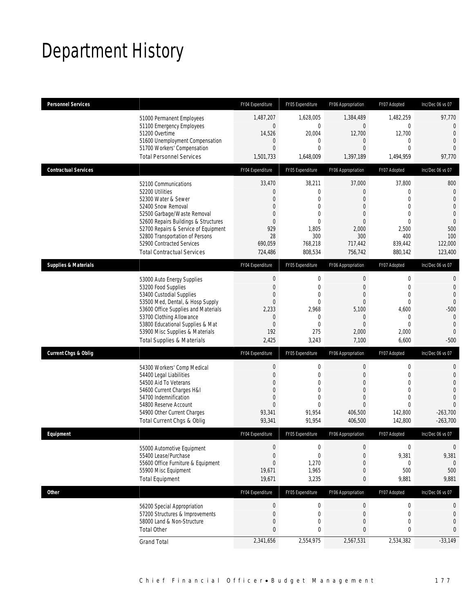# Department History

| <b>Personnel Services</b>       |                                                                                                                                                                                                                                                                                                          | FY04 Expenditure                                                                                                          | FY05 Expenditure                                                                                                         | FY06 Appropriation                                                                                                             | FY07 Adopted                                                                                                            | Inc/Dec 06 vs 07                                                                                                        |
|---------------------------------|----------------------------------------------------------------------------------------------------------------------------------------------------------------------------------------------------------------------------------------------------------------------------------------------------------|---------------------------------------------------------------------------------------------------------------------------|--------------------------------------------------------------------------------------------------------------------------|--------------------------------------------------------------------------------------------------------------------------------|-------------------------------------------------------------------------------------------------------------------------|-------------------------------------------------------------------------------------------------------------------------|
|                                 | 51000 Permanent Employees<br>51100 Emergency Employees<br>51200 Overtime<br>51600 Unemployment Compensation<br>51700 Workers' Compensation<br><b>Total Personnel Services</b>                                                                                                                            | 1,487,207<br>$\mathbf 0$<br>14,526<br>$\mathbf{0}$<br>$\mathbf{0}$<br>1,501,733                                           | 1,628,005<br>$\mathbf{0}$<br>20,004<br>$\mathbf{0}$<br>$\mathbf{0}$<br>1,648,009                                         | 1,384,489<br>$\mathbf{0}$<br>12,700<br>$\overline{0}$<br>$\overline{0}$<br>1,397,189                                           | 1,482,259<br>0<br>12,700<br>0<br>$\mathbf{0}$<br>1,494,959                                                              | 97,770<br>$\mathbf 0$<br>$\overline{0}$<br>$\Omega$<br>$\overline{0}$<br>97,770                                         |
| <b>Contractual Services</b>     |                                                                                                                                                                                                                                                                                                          | FY04 Expenditure                                                                                                          | FY05 Expenditure                                                                                                         | FY06 Appropriation                                                                                                             | FY07 Adopted                                                                                                            | Inc/Dec 06 vs 07                                                                                                        |
|                                 | 52100 Communications<br>52200 Utilities<br>52300 Water & Sewer<br>52400 Snow Removal<br>52500 Garbage/Waste Removal<br>52600 Repairs Buildings & Structures<br>52700 Repairs & Service of Equipment<br>52800 Transportation of Persons<br>52900 Contracted Services<br><b>Total Contractual Services</b> | 33,470<br>$\mathbf{0}$<br>$\mathbf{0}$<br>$\mathbf{0}$<br>$\mathbf{0}$<br>$\mathbf{0}$<br>929<br>28<br>690,059<br>724,486 | 38,211<br>$\mathbf{0}$<br>$\mathbf{0}$<br>$\mathbf{0}$<br>$\mathbf{0}$<br>$\theta$<br>1,805<br>300<br>768,218<br>808,534 | 37,000<br>$\overline{0}$<br>$\overline{0}$<br>$\mathbf{0}$<br>$\overline{0}$<br>$\Omega$<br>2,000<br>300<br>717,442<br>756,742 | 37,800<br>$\mathbf 0$<br>$\mathbf{0}$<br>$\mathbf{0}$<br>$\mathbf{0}$<br>$\Omega$<br>2,500<br>400<br>839,442<br>880,142 | 800<br>$\theta$<br>$\overline{0}$<br>$\overline{0}$<br>$\mathbf{0}$<br>$\mathbf{0}$<br>500<br>100<br>122,000<br>123,400 |
| <b>Supplies &amp; Materials</b> |                                                                                                                                                                                                                                                                                                          | FY04 Expenditure                                                                                                          | FY05 Expenditure                                                                                                         | FY06 Appropriation                                                                                                             | FY07 Adopted                                                                                                            | Inc/Dec 06 vs 07                                                                                                        |
|                                 | 53000 Auto Energy Supplies<br>53200 Food Supplies<br>53400 Custodial Supplies<br>53500 Med, Dental, & Hosp Supply<br>53600 Office Supplies and Materials<br>53700 Clothing Allowance<br>53800 Educational Supplies & Mat<br>53900 Misc Supplies & Materials<br><b>Total Supplies &amp; Materials</b>     | $\mathbf 0$<br>$\mathbf{0}$<br>$\mathbf{0}$<br>$\mathbf{0}$<br>2,233<br>$\mathbf{0}$<br>$\overline{0}$<br>192<br>2,425    | $\mathbf 0$<br>$\mathbf{0}$<br>$\mathbf{0}$<br>$\mathbf{0}$<br>2,968<br>$\mathbf{0}$<br>$\mathbf{0}$<br>275<br>3,243     | $\boldsymbol{0}$<br>$\mathbf{0}$<br>$\mathbf{0}$<br>$\mathbf{0}$<br>5,100<br>$\mathbf{0}$<br>$\Omega$<br>2,000<br>7,100        | $\mathbf 0$<br>$\mathbf 0$<br>$\mathbf{0}$<br>$\mathbf 0$<br>4,600<br>$\mathbf 0$<br>$\Omega$<br>2,000<br>6,600         | 0<br>$\overline{0}$<br>$\overline{0}$<br>$\mathbf 0$<br>$-500$<br>$\theta$<br>$\overline{0}$<br>$\theta$<br>$-500$      |
| <b>Current Chgs &amp; Oblig</b> |                                                                                                                                                                                                                                                                                                          | FY04 Expenditure                                                                                                          | FY05 Expenditure                                                                                                         | FY06 Appropriation                                                                                                             | FY07 Adopted                                                                                                            | Inc/Dec 06 vs 07                                                                                                        |
|                                 | 54300 Workers' Comp Medical<br>54400 Legal Liabilities                                                                                                                                                                                                                                                   | $\boldsymbol{0}$                                                                                                          | $\mathbf 0$                                                                                                              | 0                                                                                                                              | 0                                                                                                                       | 0                                                                                                                       |
|                                 | 54500 Aid To Veterans<br>54600 Current Charges H&I<br>54700 Indemnification<br>54800 Reserve Account<br>54900 Other Current Charges<br>Total Current Chgs & Oblig                                                                                                                                        | $\mathbf{0}$<br>$\mathbf{0}$<br>$\Omega$<br>$\overline{0}$<br>$\Omega$<br>93,341<br>93,341                                | $\mathbf{0}$<br>0<br>$\theta$<br>$\mathbf{0}$<br>$\theta$<br>91,954<br>91,954                                            | $\mathbf{0}$<br>$\mathbf{0}$<br>$\mathbf{0}$<br>$\overline{0}$<br>$\Omega$<br>406,500<br>406,500                               | $\mathbf 0$<br>0<br>$\mathbf 0$<br>$\overline{0}$<br>$\Omega$<br>142,800<br>142,800                                     | 0<br>$\Omega$<br>$\Omega$<br>$\theta$<br>$\Omega$<br>$-263.700$<br>$-263,700$                                           |
| Equipment                       |                                                                                                                                                                                                                                                                                                          | FY04 Expenditure                                                                                                          | FY05 Expenditure                                                                                                         | FY06 Appropriation                                                                                                             | FY07 Adopted                                                                                                            | Inc/Dec 06 vs 07                                                                                                        |
|                                 | 55000 Automotive Equipment<br>55400 Lease/Purchase<br>55600 Office Furniture & Equipment<br>55900 Misc Equipment<br><b>Total Equipment</b>                                                                                                                                                               | $\boldsymbol{0}$<br>$\mathbf{0}$<br>$\mathbf{0}$<br>19,671<br>19,671                                                      | $\mathbf 0$<br>$\mathbf{0}$<br>1,270<br>1,965<br>3,235                                                                   | $\boldsymbol{0}$<br>$\boldsymbol{0}$<br>$\boldsymbol{0}$<br>0<br>0                                                             | $\boldsymbol{0}$<br>9,381<br>0<br>500<br>9,881                                                                          | $\boldsymbol{0}$<br>9,381<br>0<br>500<br>9,881                                                                          |
| <b>Other</b>                    |                                                                                                                                                                                                                                                                                                          | FY04 Expenditure                                                                                                          | FY05 Expenditure                                                                                                         | FY06 Appropriation                                                                                                             | FY07 Adopted                                                                                                            | Inc/Dec 06 vs 07                                                                                                        |
|                                 | 56200 Special Appropriation<br>57200 Structures & Improvements<br>58000 Land & Non-Structure<br><b>Total Other</b><br><b>Grand Total</b>                                                                                                                                                                 | $\boldsymbol{0}$<br>$\mathbf 0$<br>$\mathbf 0$<br>$\mathbf{0}$<br>2,341,656                                               | $\boldsymbol{0}$<br>$\mathbf 0$<br>$\mathbf 0$<br>0<br>2,554,975                                                         | $\overline{0}$<br>$\boldsymbol{0}$<br>$\boldsymbol{0}$<br>0<br>2,567,531                                                       | $\boldsymbol{0}$<br>$\mathbf 0$<br>$\mathbf 0$<br>0<br>2,534,382                                                        | 0<br>$\mathbf 0$<br>$\overline{0}$<br>0<br>$-33,149$                                                                    |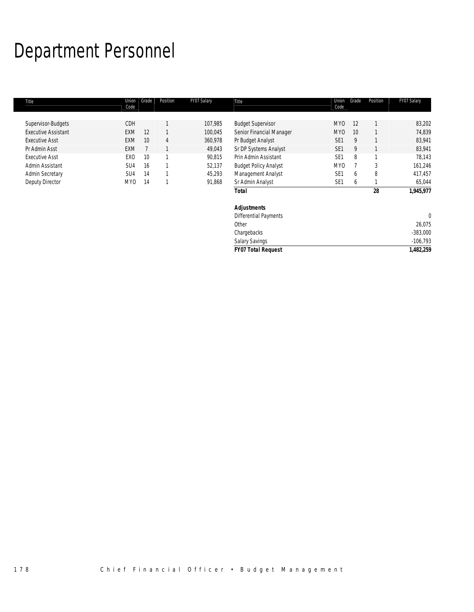# Department Personnel

| Title                      | Union<br>Code   | Grade | Position | FY07 Salary | Title                        | Union<br>Code   | Grade | Position | FY07 Salary |
|----------------------------|-----------------|-------|----------|-------------|------------------------------|-----------------|-------|----------|-------------|
|                            |                 |       |          |             |                              |                 |       |          |             |
| Supervisor-Budgets         | CDH             |       |          | 107,985     | <b>Budget Supervisor</b>     | MY0             | 12    |          | 83,202      |
| <b>Executive Assistant</b> | <b>EXM</b>      | 12    |          | 100,045     | Senior Financial Manager     | MY <sub>0</sub> | 10    |          | 74,839      |
| <b>Executive Asst</b>      | <b>EXM</b>      | 10    | 4        | 360,978     | Pr Budget Analyst            | SE <sub>1</sub> | 9     |          | 83,941      |
| Pr Admin Asst              | EXM             |       |          | 49,043      | Sr DP Systems Analyst        | SE <sub>1</sub> | 9     |          | 83,941      |
| <b>Executive Asst</b>      | EX <sub>0</sub> | 10    | 1        | 90,815      | Prin Admin Assistant         | SE <sub>1</sub> | 8     |          | 78,143      |
| Admin Assistant            | SU <sub>4</sub> | 16    |          | 52,137      | <b>Budget Policy Analyst</b> | MY <sub>0</sub> |       | 3        | 161,246     |
| <b>Admin Secretary</b>     | SU4             | 14    |          | 45,293      | Management Analyst           | SE <sub>1</sub> | 6     | 8        | 417,457     |
| Deputy Director            | MY <sub>0</sub> | 14    | 1        | 91,868      | Sr Admin Analyst             | SE <sub>1</sub> | 6     |          | 65,044      |
|                            |                 |       |          |             | <b>Total</b>                 |                 |       | 28       | 1,945,977   |
|                            |                 |       |          |             | <b>Adjustments</b>           |                 |       |          |             |
|                            |                 |       |          |             | <b>Differential Payments</b> |                 |       |          | 0           |
|                            |                 |       |          |             | Other                        |                 |       |          | 26,075      |
|                            |                 |       |          |             | Chargebacks                  |                 |       |          | $-383,000$  |
|                            |                 |       |          |             | <b>Salary Savings</b>        |                 |       |          | $-106,793$  |

*FY07 Total Request 1,482,259*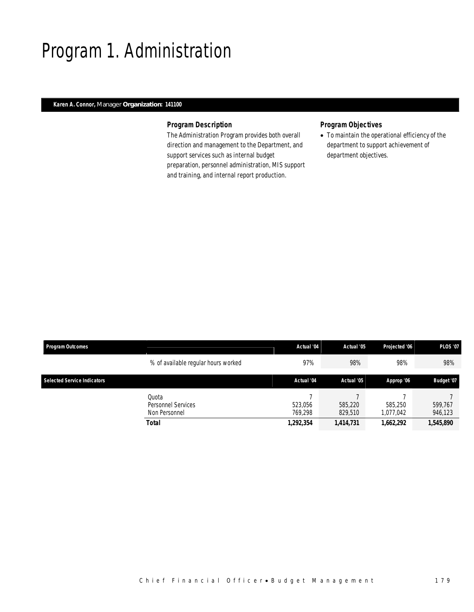# Program 1. Administration

## *Karen A. Connor, Manager Organization: 141100*

## *Program Description*

The Administration Program provides both overall direction and management to the Department, and support services such as internal budget preparation, personnel administration, MIS support and training, and internal report production.

## *Program Objectives*

• To maintain the operational efficiency of the department to support achievement of department objectives.

| <b>Program Outcomes</b>            |                                                       | Actual '04                      | Actual '05                      | Projected '06                     | <b>PLOS '07</b>                 |
|------------------------------------|-------------------------------------------------------|---------------------------------|---------------------------------|-----------------------------------|---------------------------------|
|                                    | % of available regular hours worked                   | 97%                             | 98%                             | 98%                               | 98%                             |
| <b>Selected Service Indicators</b> |                                                       | Actual '04                      | Actual '05                      | Approp '06                        | Budget '07                      |
|                                    | Ouota<br>Personnel Services<br>Non Personnel<br>Total | 523,056<br>769.298<br>1,292,354 | 585,220<br>829,510<br>1,414,731 | 585,250<br>1,077,042<br>1,662,292 | 599,767<br>946,123<br>1,545,890 |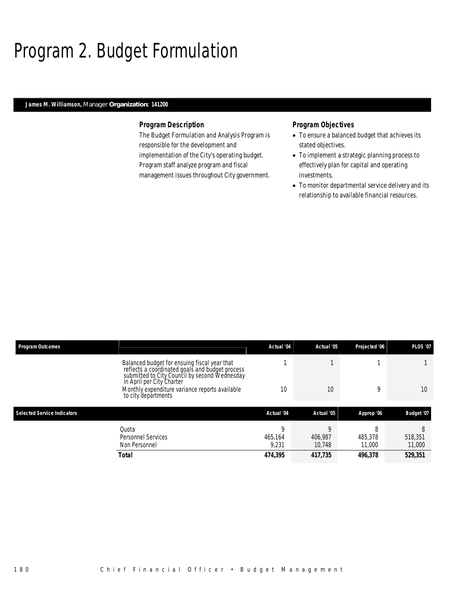# Program 2. Budget Formulation

## *James M. Williamson, Manager Organization: 141200*

### *Program Description*

The Budget Formulation and Analysis Program is responsible for the development and implementation of the City's operating budget. Program staff analyze program and fiscal management issues throughout City government.

- To ensure a balanced budget that achieves its stated objectives.
- To implement a strategic planning process to effectively plan for capital and operating investments.
- To monitor departmental service delivery and its relationship to available financial resources.

| <b>Program Outcomes</b>            |                                                                                                                                                  | Actual '04            | Actual '05        | Projected '06          | <b>PLOS '07</b>        |
|------------------------------------|--------------------------------------------------------------------------------------------------------------------------------------------------|-----------------------|-------------------|------------------------|------------------------|
|                                    | Balanced budget for ensuing fiscal year that<br>reflects a coordinated goals and budget process<br>submitted to City Council by second Wednesday |                       |                   |                        |                        |
|                                    | in April per City Charter<br>Monthly expenditure variance reports available<br>to city departments                                               | 10                    | 10                | Q                      | 10 <sup>°</sup>        |
|                                    |                                                                                                                                                  |                       |                   |                        |                        |
| <b>Selected Service Indicators</b> |                                                                                                                                                  | Actual '04            | Actual '05        | Approp '06             | Budget '07             |
|                                    | Ouota<br><b>Personnel Services</b><br>Non Personnel                                                                                              | Q<br>465.164<br>9.231 | 406.987<br>10.748 | 8<br>485,378<br>11,000 | 8<br>518,351<br>11,000 |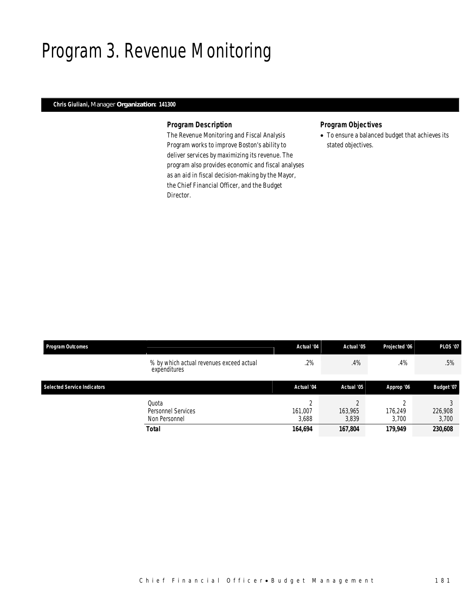# Program 3. Revenue Monitoring

## *Chris Giuliani, Manager Organization: 141300*

### *Program Description*

The Revenue Monitoring and Fiscal Analysis Program works to improve Boston's ability to deliver services by maximizing its revenue. The program also provides economic and fiscal analyses as an aid in fiscal decision-making by the Mayor, the Chief Financial Officer, and the Budget Director.

## *Program Objectives*

• To ensure a balanced budget that achieves its stated objectives.

| <b>Program Outcomes</b>            |                                                          | Actual '04                            | Actual '05                  | Projected '06               | <b>PLOS '07</b>             |
|------------------------------------|----------------------------------------------------------|---------------------------------------|-----------------------------|-----------------------------|-----------------------------|
|                                    | % by which actual revenues exceed actual<br>expenditures | .2%                                   | .4%                         | .4%                         | .5%                         |
| <b>Selected Service Indicators</b> |                                                          | Actual '04                            | Actual '05                  | Approp '06                  | Budget '07                  |
|                                    | Quota<br>Personnel Services<br>Non Personnel<br>Total    | $\sim$<br>161,007<br>3,688<br>164,694 | 163,965<br>3,839<br>167,804 | 176.249<br>3.700<br>179,949 | 226,908<br>3,700<br>230,608 |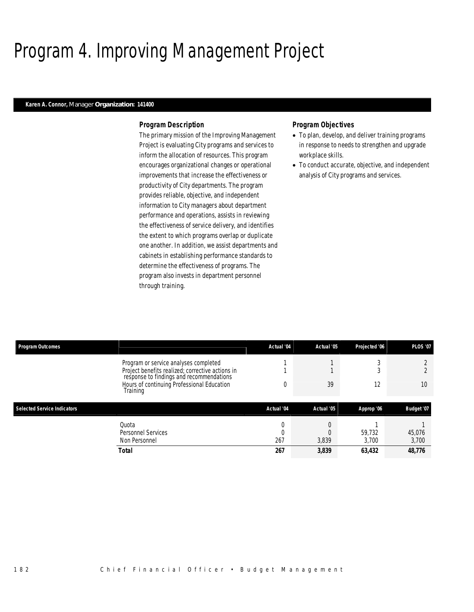# Program 4. Improving Management Project

### *Karen A. Connor, Manager Organization: 141400*

#### *Program Description*

The primary mission of the Improving Management Project is evaluating City programs and services to inform the allocation of resources. This program encourages organizational changes or operational improvements that increase the effectiveness or productivity of City departments. The program provides reliable, objective, and independent information to City managers about department performance and operations, assists in reviewing the effectiveness of service delivery, and identifies the extent to which programs overlap or duplicate one another. In addition, we assist departments and cabinets in establishing performance standards to determine the effectiveness of programs. The program also invests in department personnel through training.

- To plan, develop, and deliver training programs in response to needs to strengthen and upgrade workplace skills.
- To conduct accurate, objective, and independent analysis of City programs and services.

| <b>Program Outcomes</b>            |                                                                                              | Actual '04 | Actual '05 | Projected '06 | <b>PLOS '07</b> |
|------------------------------------|----------------------------------------------------------------------------------------------|------------|------------|---------------|-----------------|
|                                    | Program or service analyses completed                                                        |            |            |               |                 |
|                                    | Project benefits realized; corrective actions in<br>response to findings and recommendations |            |            |               |                 |
|                                    | Hours of continuing Professional Education<br>Training                                       |            | 39         | 12            | 10              |
|                                    |                                                                                              |            |            |               |                 |
| <b>Selected Service Indicators</b> |                                                                                              | Actual '04 | Actual '05 | Approp '06    | Budget '07      |
|                                    | Quota                                                                                        | 0          |            |               |                 |
|                                    | <b>Personnel Services</b>                                                                    |            |            | 59,732        | 45,076          |
|                                    | Non Personnel                                                                                | 267        | 3,839      | 3.700         | 3,700           |
|                                    | Total                                                                                        | 267        | 3,839      | 63,432        | 48,776          |
|                                    |                                                                                              |            |            |               |                 |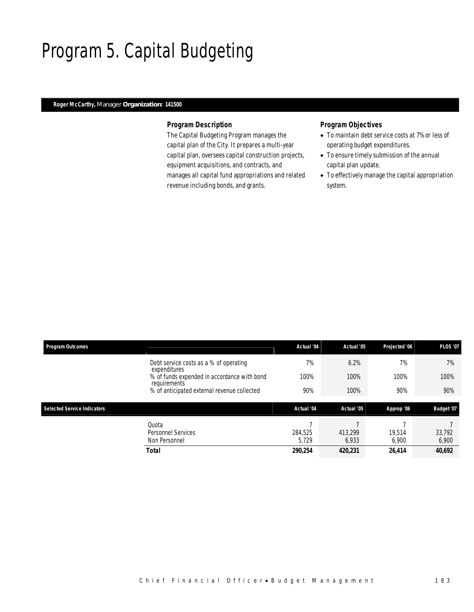# Program 5. Capital Budgeting

## *Roger McCarthy, Manager Organization: 141500*

### *Program Description*

The Capital Budgeting Program manages the capital plan of the City. It prepares a multi-year capital plan, oversees capital construction projects, equipment acquisitions, and contracts, and manages all capital fund appropriations and related revenue including bonds, and grants.

- To maintain debt service costs at 7% or less of operating budget expenditures.
- To ensure timely submission of the annual capital plan update.
- To effectively manage the capital appropriation system.

| <b>Program Outcomes</b>                                     | Actual '04 | Actual '05 | Projected '06 | <b>PLOS '07</b> |
|-------------------------------------------------------------|------------|------------|---------------|-----------------|
| Debt service costs as a % of operating<br>expenditures      | 7%         | 6.2%       | 7%            | 7%              |
| % of funds expended in accordance with bond<br>requirements | 100%       | 100%       | 100%          | 100%            |
| % of anticipated external revenue collected                 | 90%        | 100%       | 90%           | 90%             |
|                                                             |            |            |               |                 |
| <b>Selected Service Indicators</b>                          | Actual '04 | Actual '05 | Approp '06    | Budget '07      |
| Quota                                                       |            |            |               |                 |
| Personnel Services                                          | 284,525    | 413,299    | 19.514        | 33,792          |
| Non Personnel                                               | 5,729      | 6,933      | 6.900         | 6,900           |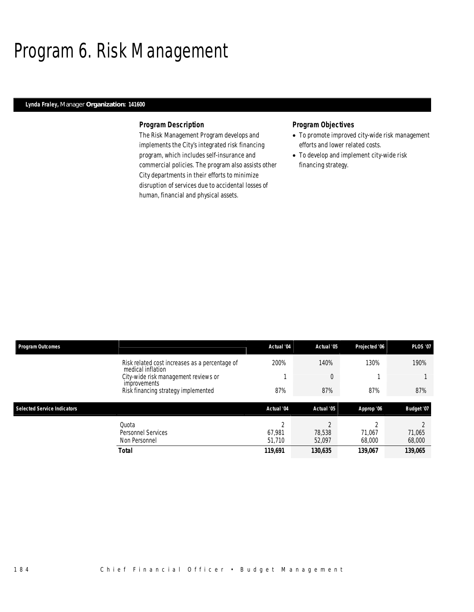# Program 6. Risk Management

### *Lynda Fraley, Manager Organization: 141600*

### *Program Description*

The Risk Management Program develops and implements the City's integrated risk financing program, which includes self-insurance and commercial policies. The program also assists other City departments in their efforts to minimize disruption of services due to accidental losses of human, financial and physical assets.

- To promote improved city-wide risk management efforts and lower related costs.
- To develop and implement city-wide risk financing strategy.

| <b>Program Outcomes</b>            |                                                                     | Actual '04                   | Actual '05       | Projected '06    | <b>PLOS '07</b>  |
|------------------------------------|---------------------------------------------------------------------|------------------------------|------------------|------------------|------------------|
|                                    | Risk related cost increases as a percentage of<br>medical inflation | 200%                         | 140%             | 130%             | 190%             |
|                                    | City-wide risk management reviews or<br><i>improvements</i>         |                              | $\overline{0}$   |                  |                  |
|                                    | Risk financing strategy implemented                                 | 87%                          | 87%              | 87%              | 87%              |
|                                    |                                                                     |                              |                  |                  |                  |
| <b>Selected Service Indicators</b> |                                                                     | Actual '04                   | Actual '05       | Approp '06       | Budget '07       |
|                                    | Ouota<br><b>Personnel Services</b><br>Non Personnel                 | $\Omega$<br>67.981<br>51,710 | 78,538<br>52.097 | 71.067<br>68,000 | 71,065<br>68,000 |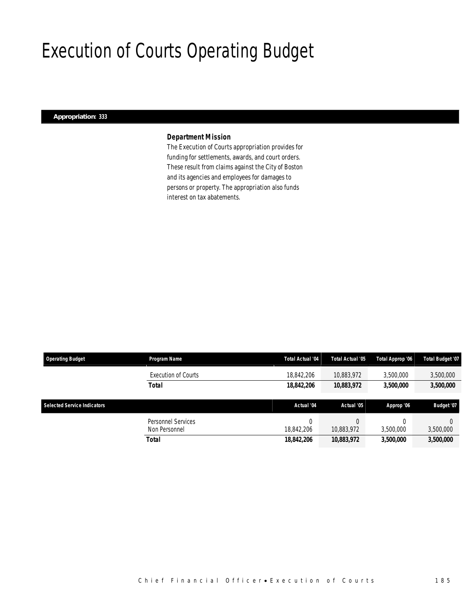# Execution of Courts Operating Budget

### *Appropriation: 333*

### *Department Mission*

The Execution of Courts appropriation provides for funding for settlements, awards, and court orders. These result from claims against the City of Boston and its agencies and employees for damages to persons or property. The appropriation also funds interest on tax abatements.

| <b>Operating Budget</b>            | Program Name               | Total Actual '04 | Total Actual '05 | Total Approp '06 | Total Budget '07 |
|------------------------------------|----------------------------|------------------|------------------|------------------|------------------|
|                                    | <b>Execution of Courts</b> | 18,842,206       | 10.883.972       | 3,500,000        | 3,500,000        |
|                                    | Total                      | 18,842,206       | 10,883,972       | 3,500,000        | 3,500,000        |
|                                    |                            |                  |                  |                  |                  |
|                                    |                            |                  |                  |                  |                  |
| <b>Selected Service Indicators</b> |                            | Actual '04       | Actual '05       | Approp '06       | Budget '07       |
|                                    | Personnel Services         | 0                |                  |                  |                  |
|                                    | Non Personnel              | 18,842,206       | 10,883,972       | 3,500,000        | 3,500,000        |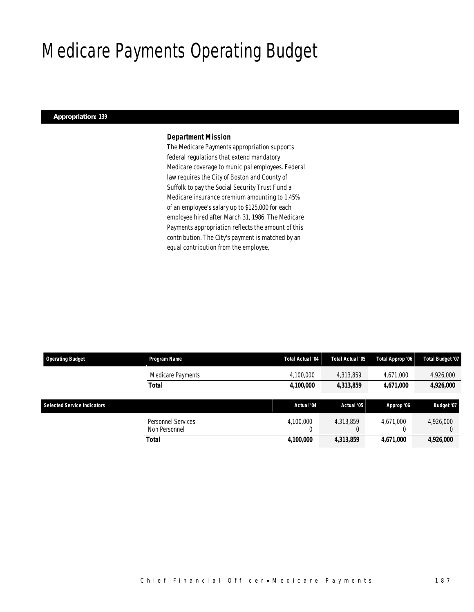# Medicare Payments Operating Budget

### *Appropriation: 139*

### *Department Mission*

The Medicare Payments appropriation supports federal regulations that extend mandatory Medicare coverage to municipal employees. Federal law requires the City of Boston and County of Suffolk to pay the Social Security Trust Fund a Medicare insurance premium amounting to 1.45% of an employee's salary up to \$125,000 for each employee hired after March 31, 1986. The Medicare Payments appropriation reflects the amount of this contribution. The City's payment is matched by an equal contribution from the employee.

| <b>Operating Budget</b>            | <b>Program Name</b>                 | Total Actual '04 | Total Actual '05 | Total Approp '06 | <b>Total Budget '07</b> |
|------------------------------------|-------------------------------------|------------------|------------------|------------------|-------------------------|
|                                    | Medicare Payments                   | 4,100,000        | 4,313,859        | 4,671,000        | 4,926,000               |
|                                    | <b>Total</b>                        | 4,100,000        | 4,313,859        | 4.671.000        | 4,926,000               |
| <b>Selected Service Indicators</b> |                                     | Actual '04       | Actual '05       | Approp '06       | Budget '07              |
|                                    | Personnel Services<br>Non Personnel | 4.100.000        | 4.313.859        | 4.671.000        | 4,926,000               |
|                                    | Total                               | 4,100,000        | 4,313,859        | 4,671,000        | 4,926,000               |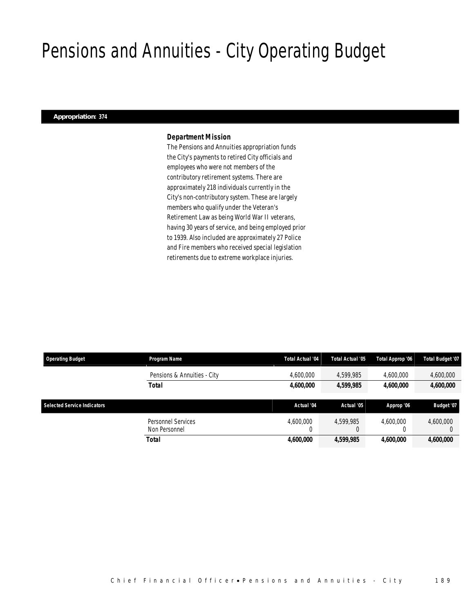# Pensions and Annuities - City Operating Budget

#### *Appropriation: 374*

#### *Department Mission*

The Pensions and Annuities appropriation funds the City's payments to retired City officials and employees who were not members of the contributory retirement systems. There are approximately 218 individuals currently in the City's non-contributory system. These are largely members who qualify under the Veteran's Retirement Law as being World War II veterans, having 30 years of service, and being employed prior to 1939. Also included are approximately 27 Police and Fire members who received special legislation retirements due to extreme workplace injuries.

| <b>Operating Budget</b>            | <b>Program Name</b>                 | <b>Total Actual '04</b> | Total Actual '05 | Total Approp '06 | <b>Total Budget '07</b> |
|------------------------------------|-------------------------------------|-------------------------|------------------|------------------|-------------------------|
|                                    | Pensions & Annuities - City         | 4,600,000               | 4,599,985        | 4.600.000        | 4,600,000               |
|                                    | <b>Total</b>                        | 4,600,000               | 4.599.985        | 4.600.000        | 4,600,000               |
| <b>Selected Service Indicators</b> |                                     | Actual '04              | Actual '05       | Approp '06       | Budget '07              |
|                                    |                                     |                         |                  |                  |                         |
|                                    | Personnel Services<br>Non Personnel | 4.600.000               | 4.599.985        | 4.600.000        | 4,600,000               |
|                                    |                                     |                         |                  |                  |                         |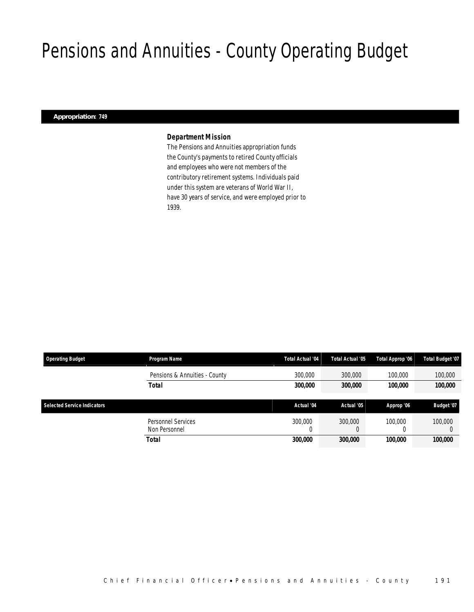# Pensions and Annuities - County Operating Budget

#### *Appropriation: 749*

#### *Department Mission*

The Pensions and Annuities appropriation funds the County's payments to retired County officials and employees who were not members of the contributory retirement systems. Individuals paid under this system are veterans of World War II, have 30 years of service, and were employed prior to 1939.

| <b>Operating Budget</b>            | Program Name                               | Total Actual '04 | Total Actual '05 | Total Approp '06 | Total Budget '07 |
|------------------------------------|--------------------------------------------|------------------|------------------|------------------|------------------|
|                                    | Pensions & Annuities - County              | 300,000          | 300,000          | 100,000          | 100,000          |
|                                    | <b>Total</b>                               | 300,000          | 300,000          | 100,000          | 100,000          |
|                                    |                                            |                  |                  |                  |                  |
| <b>Selected Service Indicators</b> |                                            | Actual '04       | Actual '05       | Approp '06       | Budget '07       |
|                                    | <b>Personnel Services</b><br>Non Personnel | 300,000<br>0     | 300,000<br>υ     | 100,000          | 100,000          |
|                                    | Total                                      | 300,000          | 300,000          | 100.000          | 100,000          |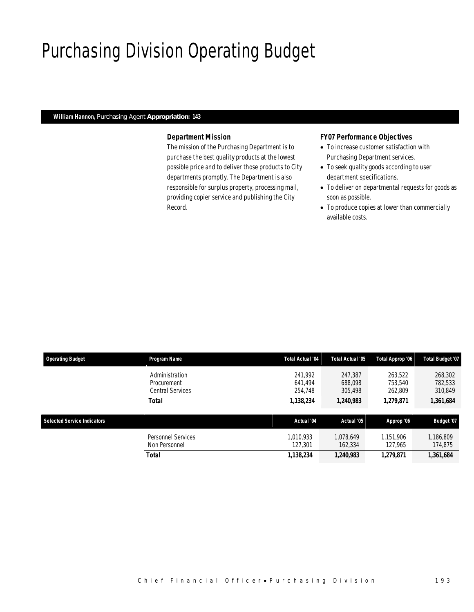# Purchasing Division Operating Budget

#### *William Hannon, Purchasing Agent Appropriation: 143*

### *Department Mission*

The mission of the Purchasing Department is to purchase the best quality products at the lowest possible price and to deliver those products to City departments promptly. The Department is also responsible for surplus property, processing mail, providing copier service and publishing the City Record.

#### *FY07 Performance Objectives*

- To increase customer satisfaction with Purchasing Department services.
- To seek quality goods according to user department specifications.
- To deliver on departmental requests for goods as soon as possible.
- To produce copies at lower than commercially available costs.

| <b>Operating Budget</b>            | Program Name                                      | <b>Total Actual '04</b>       | <b>Total Actual '05</b>       | Total Approp '06              | <b>Total Budget '07</b>       |
|------------------------------------|---------------------------------------------------|-------------------------------|-------------------------------|-------------------------------|-------------------------------|
|                                    | Administration<br>Procurement<br>Central Services | 241.992<br>641.494<br>254,748 | 247.387<br>688.098<br>305,498 | 263.522<br>753,540<br>262.809 | 268,302<br>782,533<br>310,849 |
|                                    | <b>Total</b>                                      | 1,138,234                     | 1,240,983                     | 1,279,871                     | 1,361,684                     |
| <b>Selected Service Indicators</b> |                                                   | Actual '04                    | Actual '05                    | Approp '06                    | Budget '07                    |
|                                    | Personnel Services<br>Non Personnel               | 1.010.933<br>127.301          | 1.078.649<br>162,334          | 1.151.906<br>127,965          | 1,186,809<br>174,875          |
|                                    | <b>Total</b>                                      | 1,138,234                     | 1,240,983                     | 1,279,871                     | 1,361,684                     |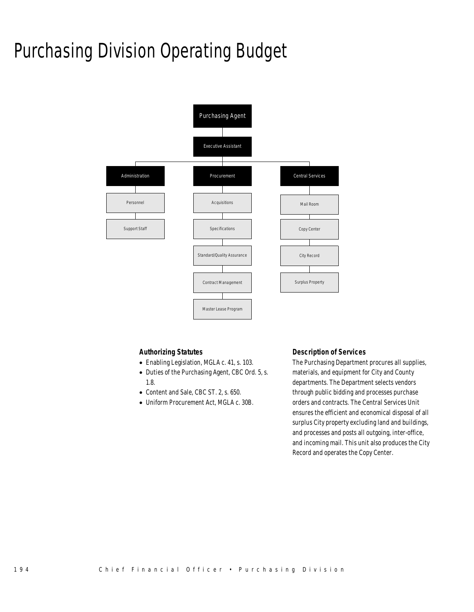# Purchasing Division Operating Budget



### *Authorizing Statutes*

- Enabling Legislation, MGLA c. 41, s. 103.
- Duties of the Purchasing Agent, CBC Ord. 5, s. 1.8.
- Content and Sale, CBC ST. 2, s. 650.
- Uniform Procurement Act, MGLA c. 30B.

### *Description of Services*

The Purchasing Department procures all supplies, materials, and equipment for City and County departments. The Department selects vendors through public bidding and processes purchase orders and contracts. The Central Services Unit ensures the efficient and economical disposal of all surplus City property excluding land and buildings, and processes and posts all outgoing, inter-office, and incoming mail. This unit also produces the City Record and operates the Copy Center.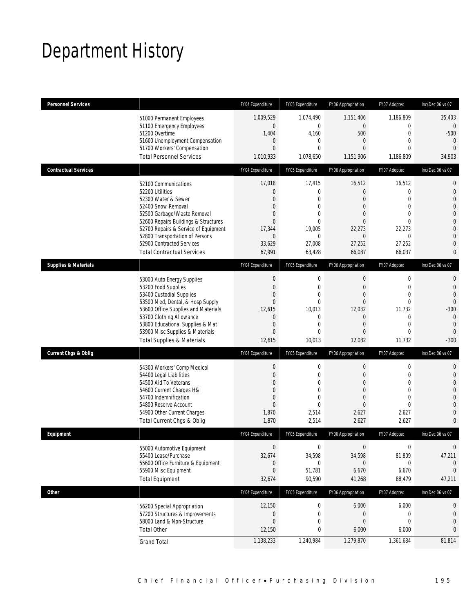# Department History

| Personnel Services              |                                       | FY04 Expenditure | FY05 Expenditure | FY06 Appropriation | FY07 Adopted   | Inc/Dec 06 vs 07 |
|---------------------------------|---------------------------------------|------------------|------------------|--------------------|----------------|------------------|
|                                 | 51000 Permanent Employees             | 1,009,529        | 1.074.490        | 1,151,406          | 1,186,809      | 35,403           |
|                                 | 51100 Emergency Employees             | $\mathbf 0$      | $\overline{0}$   | $\overline{0}$     | 0              | $\overline{0}$   |
|                                 | 51200 Overtime                        | 1,404            | 4,160            | 500                | $\overline{0}$ | $-500$           |
|                                 | 51600 Unemployment Compensation       | $\mathbf 0$      | 0                | $\mathbf{0}$       | $\overline{0}$ | $\overline{0}$   |
|                                 | 51700 Workers' Compensation           | $\overline{0}$   | $\overline{0}$   | $\Omega$           | $\Omega$       | $\overline{0}$   |
|                                 | <b>Total Personnel Services</b>       | 1,010,933        | 1,078,650        | 1,151,906          | 1,186,809      | 34,903           |
| <b>Contractual Services</b>     |                                       | FY04 Expenditure | FY05 Expenditure | FY06 Appropriation | FY07 Adopted   | Inc/Dec 06 vs 07 |
|                                 | 52100 Communications                  | 17,018           | 17,415           | 16,512             | 16,512         | 0                |
|                                 | 52200 Utilities                       | $\overline{0}$   | 0                | $\overline{0}$     | $\overline{0}$ | $\mathbf{0}$     |
|                                 | 52300 Water & Sewer                   | $\overline{0}$   | $\overline{0}$   | $\overline{0}$     | $\overline{0}$ | $\overline{0}$   |
|                                 | 52400 Snow Removal                    | $\overline{0}$   | $\overline{0}$   | $\overline{0}$     | $\overline{0}$ | $\overline{0}$   |
|                                 | 52500 Garbage/Waste Removal           | $\mathbf{0}$     | $\Omega$         | $\overline{0}$     | 0              | $\overline{0}$   |
|                                 | 52600 Repairs Buildings & Structures  | $\Omega$         | $\Omega$         | $\overline{0}$     | 0              | $\overline{0}$   |
|                                 | 52700 Repairs & Service of Equipment  | 17,344           | 19,005           | 22,273             | 22,273         | $\overline{0}$   |
|                                 | 52800 Transportation of Persons       | $\overline{0}$   | $\overline{0}$   | $\overline{0}$     | $\Omega$       | $\overline{0}$   |
|                                 | 52900 Contracted Services             | 33,629           | 27,008           | 27,252             | 27,252         | $\overline{0}$   |
|                                 | <b>Total Contractual Services</b>     | 67,991           | 63,428           | 66,037             | 66,037         | $\mathbf{0}$     |
| <b>Supplies &amp; Materials</b> |                                       | FY04 Expenditure | FY05 Expenditure | FY06 Appropriation | FY07 Adopted   | Inc/Dec 06 vs 07 |
|                                 | 53000 Auto Energy Supplies            | $\mathbf 0$      | $\mathbf 0$      | $\boldsymbol{0}$   | 0              | $\mathbf 0$      |
|                                 | 53200 Food Supplies                   | $\mathbf{0}$     | $\mathbf{0}$     | $\boldsymbol{0}$   | $\overline{0}$ | $\overline{0}$   |
|                                 | 53400 Custodial Supplies              | $\overline{0}$   | $\overline{0}$   | $\overline{0}$     | $\overline{0}$ | $\overline{0}$   |
|                                 | 53500 Med, Dental, & Hosp Supply      | $\mathbf{0}$     | 0                | $\Omega$           | 0              | $\mathbf{0}$     |
|                                 | 53600 Office Supplies and Materials   | 12,615           | 10,013           | 12,032             | 11,732         | $-300$           |
|                                 | 53700 Clothing Allowance              | $\overline{0}$   | 0                | $\overline{0}$     | $\mathbf 0$    | $\mathbf{0}$     |
|                                 | 53800 Educational Supplies & Mat      | $\overline{0}$   | $\overline{0}$   | $\overline{0}$     | $\overline{0}$ | $\overline{0}$   |
|                                 | 53900 Misc Supplies & Materials       | $\overline{0}$   | $\overline{0}$   | $\overline{0}$     | $\overline{0}$ | $\mathbf{0}$     |
|                                 | <b>Total Supplies &amp; Materials</b> | 12,615           | 10,013           | 12,032             | 11,732         | $-300$           |
| <b>Current Chgs &amp; Oblig</b> |                                       | FY04 Expenditure | FY05 Expenditure | FY06 Appropriation | FY07 Adopted   | Inc/Dec 06 vs 07 |
|                                 | 54300 Workers' Comp Medical           | $\mathbf 0$      | $\mathbf 0$      | 0                  | 0              | 0                |
|                                 | 54400 Legal Liabilities               | $\theta$         | $\mathbf{0}$     | $\overline{0}$     | $\overline{0}$ | $\overline{0}$   |
|                                 | 54500 Aid To Veterans                 | $\mathbf{0}$     | $\mathbf{0}$     | $\overline{0}$     | $\overline{0}$ | $\overline{0}$   |
|                                 | 54600 Current Charges H&I             | $\overline{0}$   | $\Omega$         | $\overline{0}$     | 0              | $\overline{0}$   |
|                                 | 54700 Indemnification                 | $\overline{0}$   | $\overline{0}$   | $\boldsymbol{0}$   | $\overline{0}$ | $\overline{0}$   |
|                                 | 54800 Reserve Account                 | $\theta$         | 0                | $\overline{0}$     | $\overline{0}$ | $\overline{0}$   |
|                                 | 54900 Other Current Charges           | 1,870            | 2,514            | 2,627              | 2,627          | $\overline{0}$   |
|                                 | Total Current Chgs & Oblig            | 1,870            | 2,514            | 2,627              | 2,627          | $\mathbf{0}$     |
| Equipment                       |                                       | FY04 Expenditure | FY05 Expenditure | FY06 Appropriation | FY07 Adopted   | Inc/Dec 06 vs 07 |
|                                 | 55000 Automotive Equipment            | $\mathbf{0}$     | $\mathbf 0$      | $\boldsymbol{0}$   | $\mathbf 0$    | $\boldsymbol{0}$ |
|                                 | 55400 Lease/Purchase                  | 32,674           | 34,598           | 34,598             | 81,809         | 47,211           |
|                                 | 55600 Office Furniture & Equipment    | $\theta$         | 0                | 0                  | 0              | $\mathbf{0}$     |
|                                 | 55900 Misc Equipment                  | $\mathbf 0$      | 51,781           | 6,670              | 6,670          | $\theta$         |
|                                 | <b>Total Equipment</b>                | 32,674           | 90,590           | 41,268             | 88,479         | 47,211           |
| <b>Other</b>                    |                                       | FY04 Expenditure | FY05 Expenditure | FY06 Appropriation | FY07 Adopted   | Inc/Dec 06 vs 07 |
|                                 | 56200 Special Appropriation           | 12,150           | $\boldsymbol{0}$ | 6,000              | 6,000          | 0                |
|                                 | 57200 Structures & Improvements       | $\mathbf 0$      | $\mathbf 0$      | 0                  | 0              | $\mathbf{0}$     |
|                                 | 58000 Land & Non-Structure            | $\mathbf{0}$     | $\mathbf 0$      | $\mathbf 0$        | $\overline{0}$ | $\overline{0}$   |
|                                 | <b>Total Other</b>                    | 12,150           | 0                | 6,000              | 6,000          | 0                |
|                                 | <b>Grand Total</b>                    | 1,138,233        | 1,240,984        | 1,279,870          | 1,361,684      | 81,814           |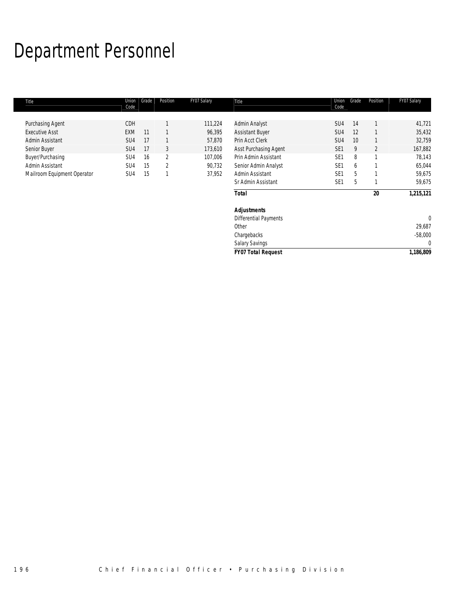# Department Personnel

| Title                       | Union<br>Code   | Grade | Position       | FY07 Salary | Title                        | Union<br>Code   | Grade | Position       | FY07 Salary  |
|-----------------------------|-----------------|-------|----------------|-------------|------------------------------|-----------------|-------|----------------|--------------|
|                             |                 |       |                |             |                              |                 |       |                |              |
| Purchasing Agent            | CDH             |       |                | 111,224     | Admin Analyst                | SU4             | 14    |                | 41,721       |
| <b>Executive Asst</b>       | <b>EXM</b>      | 11    |                | 96,395      | <b>Assistant Buyer</b>       | SU4             | 12    |                | 35,432       |
| Admin Assistant             | SU4             | 17    | 1              | 57,870      | Prin Acct Clerk              | SU4             | 10    |                | 32,759       |
| Senior Buyer                | SU4             | 17    | 3              | 173,610     | Asst Purchasing Agent        | SE <sub>1</sub> | 9     | $\overline{2}$ | 167,882      |
| Buyer/Purchasing            | SU4             | 16    | $\overline{2}$ | 107,006     | Prin Admin Assistant         | SE <sub>1</sub> | 8     | $\overline{ }$ | 78,143       |
| Admin Assistant             | SU <sub>4</sub> | 15    | 2              | 90,732      | Senior Admin Analyst         | SE <sub>1</sub> | 6     |                | 65,044       |
| Mailroom Equipment Operator | SU4             | 15    | $\mathbf{1}$   | 37,952      | Admin Assistant              | SE <sub>1</sub> | 5     |                | 59,675       |
|                             |                 |       |                |             | Sr Admin Assistant           | SE <sub>1</sub> | 5     |                | 59,675       |
|                             |                 |       |                |             | <b>Total</b>                 |                 |       | 20             | 1,215,121    |
|                             |                 |       |                |             | <b>Adjustments</b>           |                 |       |                |              |
|                             |                 |       |                |             | <b>Differential Payments</b> |                 |       |                | $\mathbf{0}$ |
|                             |                 |       |                |             | Other                        |                 |       |                | 29,687       |
|                             |                 |       |                |             | Chargebacks                  |                 |       |                | $-58,000$    |
|                             |                 |       |                |             | <b>Salary Savings</b>        |                 |       |                | $\mathbf 0$  |
|                             |                 |       |                |             | <b>FY07 Total Request</b>    |                 |       |                | 1,186,809    |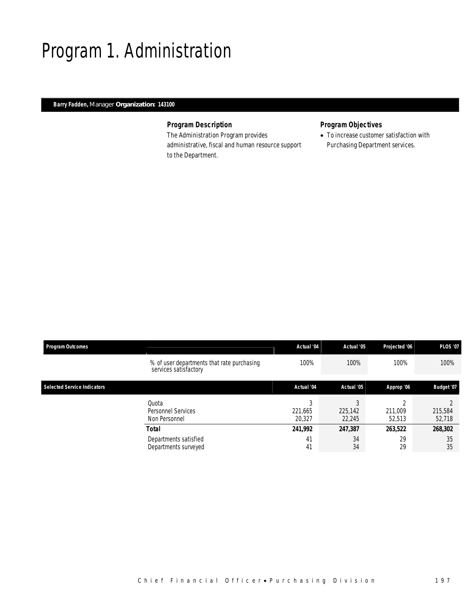## Program 1. Administration

### *Barry Fadden, Manager Organization: 143100*

## *Program Description*

The Administration Program provides administrative, fiscal and human resource support to the Department.

## *Program Objectives*

• To increase customer satisfaction with Purchasing Department services.

| <b>Program Outcomes</b>            |                                                                     | Actual '04             | Actual '05             | Projected '06     | <b>PLOS '07</b>   |  |
|------------------------------------|---------------------------------------------------------------------|------------------------|------------------------|-------------------|-------------------|--|
|                                    | % of user departments that rate purchasing<br>services satisfactory | 100%                   | 100%                   | 100%              | 100%              |  |
| <b>Selected Service Indicators</b> |                                                                     | Actual '04             | Actual '05             | Approp '06        | <b>Budget '07</b> |  |
|                                    | Quota<br>Personnel Services<br>Non Personnel                        | 3<br>221,665<br>20,327 | C<br>225,142<br>22,245 | 211,009<br>52,513 | 215,584<br>52,718 |  |
|                                    | Total                                                               | 241,992                | 247,387                | 263,522           | 268,302           |  |
|                                    | Departments satisfied<br>Departments surveyed                       | 41<br>41               | 34<br>34               | 29<br>29          | 35<br>35          |  |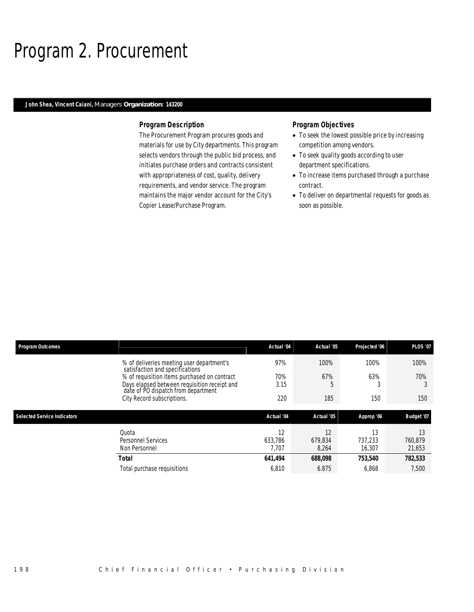## Program 2. Procurement

### *John Shea, Vincent Caiani, Managers Organization: 143200*

#### *Program Description*

The Procurement Program procures goods and materials for use by City departments. This program selects vendors through the public bid process, and initiates purchase orders and contracts consistent with appropriateness of cost, quality, delivery requirements, and vendor service. The program maintains the major vendor account for the City's Copier Lease/Purchase Program.

#### *Program Objectives*

- To seek the lowest possible price by increasing competition among vendors.
- To seek quality goods according to user department specifications.
- To increase items purchased through a purchase contract.
- To deliver on departmental requests for goods as soon as possible.

| <b>Program Outcomes</b>                                                             | Actual '04 | Actual '05 | Projected '06 | <b>PLOS '07</b> |
|-------------------------------------------------------------------------------------|------------|------------|---------------|-----------------|
| % of deliveries meeting user department's<br>satisfaction and specifications        | 97%        | 100%       | 100%          | 100%            |
| % of requisition items purchased on contract                                        | 70%        | 67%        | 63%           | 70%             |
| Days elapsed between requisition receipt and<br>date of PO dispatch from department | 3.15       |            |               |                 |
| City Record subscriptions.                                                          | 220        | 185        | 150           | 150             |
|                                                                                     |            |            |               |                 |
|                                                                                     |            |            |               |                 |
| <b>Selected Service Indicators</b>                                                  | Actual '04 | Actual '05 | Approp '06    | Budget '07      |
| Quota                                                                               | 12         | 12         | 13            | 13              |
| Personnel Services                                                                  | 633.786    | 679.834    | 737,233       | 760,879         |
| Non Personnel                                                                       | 7.707      | 8,264      | 16,307        | 21,653          |
| <b>Total</b>                                                                        | 641,494    | 688,098    | 753,540       | 782,533         |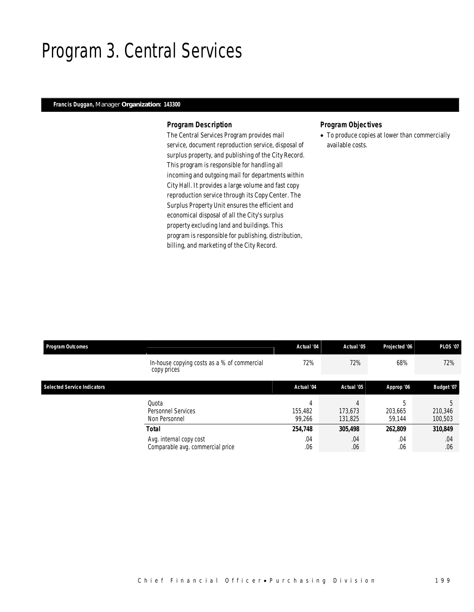## Program 3. Central Services

### *Francis Duggan, Manager Organization: 143300*

#### *Program Description*

The Central Services Program provides mail service, document reproduction service, disposal of surplus property, and publishing of the City Record. This program is responsible for handling all incoming and outgoing mail for departments within City Hall. It provides a large volume and fast copy reproduction service through its Copy Center. The Surplus Property Unit ensures the efficient and economical disposal of all the City's surplus property excluding land and buildings. This program is responsible for publishing, distribution, billing, and marketing of the City Record.

## *Program Objectives*

• To produce copies at lower than commercially available costs.

| <b>Program Outcomes</b>            |                                                             | Actual '04        | Actual '05         | Projected '06          | <b>PLOS '07</b>    |
|------------------------------------|-------------------------------------------------------------|-------------------|--------------------|------------------------|--------------------|
|                                    | In-house copying costs as a % of commercial<br>copy prices  | 72%               | 72%                | 68%                    | 72%                |
| <b>Selected Service Indicators</b> |                                                             | Actual '04        | Actual '05         | Approp '06             | <b>Budget '07</b>  |
|                                    | Quota<br><b>Personnel Services</b><br>Non Personnel         | 155,482<br>99.266 | 173.673<br>131,825 | 5<br>203,665<br>59.144 | 210,346<br>100,503 |
|                                    | <b>Total</b>                                                | 254,748           | 305,498            | 262,809                | 310,849            |
|                                    | Avg. internal copy cost<br>Comparable avg. commercial price | .04<br>.06        | .04<br>.06         | .04<br>.06             | .04<br>.06         |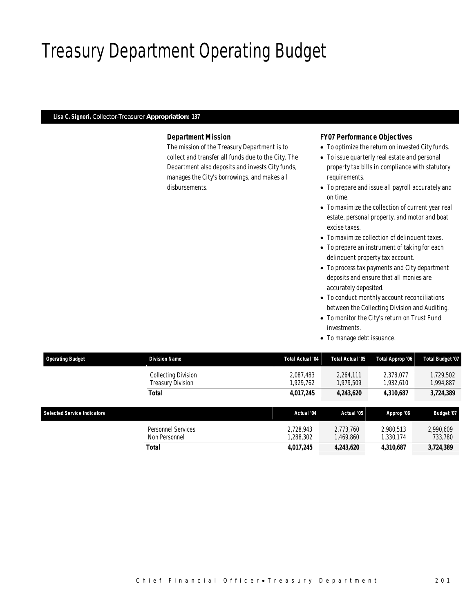# Treasury Department Operating Budget

#### *Lisa C. Signori, Collector-Treasurer Appropriation: 137*

### *Department Mission*

The mission of the Treasury Department is to collect and transfer all funds due to the City. The Department also deposits and invests City funds, manages the City's borrowings, and makes all disbursements.

#### *FY07 Performance Objectives*

- To optimize the return on invested City funds.
- To issue quarterly real estate and personal property tax bills in compliance with statutory requirements.
- To prepare and issue all payroll accurately and on time.
- To maximize the collection of current year real estate, personal property, and motor and boat excise taxes.
- To maximize collection of delinquent taxes.
- To prepare an instrument of taking for each delinquent property tax account.
- To process tax payments and City department deposits and ensure that all monies are accurately deposited.
- To conduct monthly account reconciliations between the Collecting Division and Auditing.
- To monitor the City's return on Trust Fund investments.
- To manage debt issuance.

| <b>Operating Budget</b> | <b>Division Name</b>                            | Total Actual '04       | Total Actual '05       | Total Approp '06       | Total Budget '07       |
|-------------------------|-------------------------------------------------|------------------------|------------------------|------------------------|------------------------|
|                         | Collecting Division<br><b>Treasury Division</b> | 2.087.483<br>1.929.762 | 2,264,111<br>1.979.509 | 2,378,077<br>1.932.610 | 1,729,502<br>1,994,887 |
|                         | Total                                           | 4.017.245              | 4,243,620              | 4.310.687              | 3,724,389              |

| <b>Selected Service Indicators</b> |                                     | Actual '04            | Actual '05            | Approp '06             | <b>Budget '07</b>    |
|------------------------------------|-------------------------------------|-----------------------|-----------------------|------------------------|----------------------|
|                                    | Personnel Services<br>Non Personnel | 2.728.943<br>.288.302 | 2.773.760<br>.469.860 | 2.980.513<br>1.330.174 | 2,990,609<br>733,780 |
|                                    | Total                               | 4.017.245             | 4.243.620             | 4.310.687              | 3,724,389            |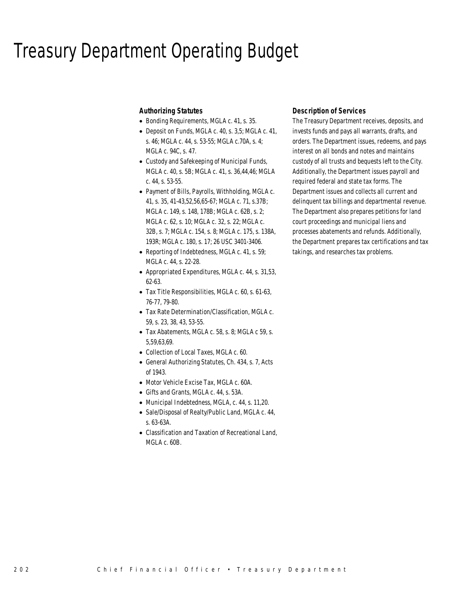## Treasury Department Operating Budget

#### *Authorizing Statutes*

- Bonding Requirements, MGLA c. 41, s. 35.
- Deposit on Funds, MGLA c. 40, s. 3,5; MGLA c. 41, s. 46; MGLA c. 44, s. 53-55; MGLA c.70A, s. 4; MGLA c. 94C, s. 47.
- Custody and Safekeeping of Municipal Funds, MGLA c. 40, s. 5B; MGLA c. 41, s. 36,44,46; MGLA c. 44, s. 53-55.
- Payment of Bills, Payrolls, Withholding, MGLA c. 41, s. 35, 41-43,52,56,65-67; MGLA c. 71, s.37B; MGLA c. 149, s. 148, 178B; MGLA c. 62B, s. 2; MGLA c. 62, s. 10; MGLA c. 32, s. 22; MGLA c. 32B, s. 7; MGLA c. 154, s. 8; MGLA c. 175, s. 138A, 193R; MGLA c. 180, s. 17; 26 USC 3401-3406.
- Reporting of Indebtedness, MGLA c. 41, s. 59; MGLA c. 44, s. 22-28.
- Appropriated Expenditures, MGLA c. 44, s. 31,53, 62-63.
- Tax Title Responsibilities, MGLA c. 60, s. 61-63, 76-77, 79-80.
- Tax Rate Determination/Classification, MGLA c. 59, s. 23, 38, 43, 53-55.
- Tax Abatements, MGLA c. 58, s. 8; MGLA c 59, s. 5,59,63,69.
- Collection of Local Taxes, MGLA c. 60.
- General Authorizing Statutes, Ch. 434, s. 7, Acts of 1943.
- Motor Vehicle Excise Tax, MGLA c. 60A.
- Gifts and Grants, MGLA c. 44, s. 53A.
- Municipal Indebtedness, MGLA, c. 44, s. 11,20.
- Sale/Disposal of Realty/Public Land, MGLA c. 44, s. 63-63A.
- Classification and Taxation of Recreational Land, MGLA c. 60B.

#### *Description of Services*

The Treasury Department receives, deposits, and invests funds and pays all warrants, drafts, and orders. The Department issues, redeems, and pays interest on all bonds and notes and maintains custody of all trusts and bequests left to the City. Additionally, the Department issues payroll and required federal and state tax forms. The Department issues and collects all current and delinquent tax billings and departmental revenue. The Department also prepares petitions for land court proceedings and municipal liens and processes abatements and refunds. Additionally, the Department prepares tax certifications and tax takings, and researches tax problems.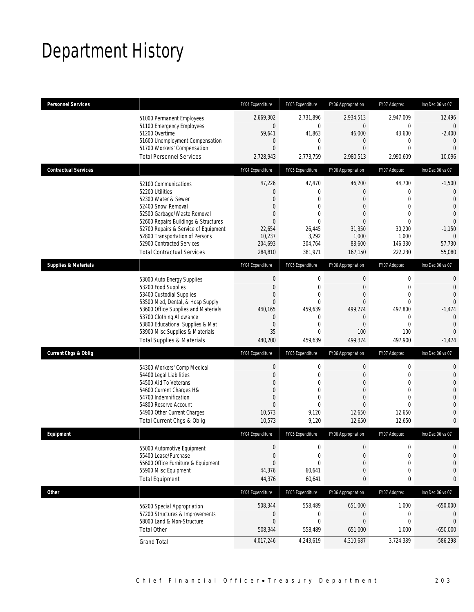# Department History

| <b>Personnel Services</b>       |                                                                                                                                                                                                                                                                                                          | FY04 Expenditure                                                                                                             | FY05 Expenditure                                                                                                            | FY06 Appropriation                                                                                                           | FY07 Adopted                                                                                                                  | Inc/Dec 06 vs 07                                                                                                                   |
|---------------------------------|----------------------------------------------------------------------------------------------------------------------------------------------------------------------------------------------------------------------------------------------------------------------------------------------------------|------------------------------------------------------------------------------------------------------------------------------|-----------------------------------------------------------------------------------------------------------------------------|------------------------------------------------------------------------------------------------------------------------------|-------------------------------------------------------------------------------------------------------------------------------|------------------------------------------------------------------------------------------------------------------------------------|
|                                 | 51000 Permanent Employees<br>51100 Emergency Employees<br>51200 Overtime<br>51600 Unemployment Compensation<br>51700 Workers' Compensation<br><b>Total Personnel Services</b>                                                                                                                            | 2,669,302<br>$\mathbf 0$<br>59,641<br>$\mathbf{0}$<br>$\mathbf{0}$<br>2,728,943                                              | 2,731,896<br>$\mathbf{0}$<br>41,863<br>$\mathbf{0}$<br>$\mathbf{0}$<br>2,773,759                                            | 2,934,513<br>$\overline{0}$<br>46,000<br>$\mathbf{0}$<br>$\overline{0}$<br>2,980,513                                         | 2,947,009<br>$\overline{0}$<br>43,600<br>$\mathbf 0$<br>$\overline{0}$<br>2,990,609                                           | 12,496<br>$\overline{0}$<br>$-2,400$<br>$\overline{0}$<br>$\Omega$<br>10,096                                                       |
| <b>Contractual Services</b>     |                                                                                                                                                                                                                                                                                                          | FY04 Expenditure                                                                                                             | FY05 Expenditure                                                                                                            | FY06 Appropriation                                                                                                           | FY07 Adopted                                                                                                                  | Inc/Dec 06 vs 07                                                                                                                   |
|                                 | 52100 Communications<br>52200 Utilities<br>52300 Water & Sewer<br>52400 Snow Removal<br>52500 Garbage/Waste Removal<br>52600 Repairs Buildings & Structures<br>52700 Repairs & Service of Equipment<br>52800 Transportation of Persons<br>52900 Contracted Services<br><b>Total Contractual Services</b> | 47,226<br>$\mathbf{0}$<br>$\mathbf{0}$<br>$\mathbf{0}$<br>$\mathbf{0}$<br>$\Omega$<br>22,654<br>10,237<br>204,693<br>284,810 | 47,470<br>$\mathbf{0}$<br>$\theta$<br>$\overline{0}$<br>$\mathbf{0}$<br>$\theta$<br>26,445<br>3,292<br>304,764<br>381,971   | 46,200<br>$\overline{0}$<br>$\mathbf{0}$<br>$\mathbf{0}$<br>$\mathbf{0}$<br>$\Omega$<br>31,350<br>1,000<br>88,600<br>167,150 | 44,700<br>$\mathbf 0$<br>$\overline{0}$<br>$\overline{0}$<br>$\mathbf 0$<br>$\Omega$<br>30,200<br>1,000<br>146,330<br>222,230 | $-1,500$<br>$\overline{0}$<br>$\Omega$<br>$\Omega$<br>$\overline{0}$<br>$\overline{0}$<br>$-1,150$<br>$\Omega$<br>57,730<br>55,080 |
| <b>Supplies &amp; Materials</b> |                                                                                                                                                                                                                                                                                                          | FY04 Expenditure                                                                                                             | FY05 Expenditure                                                                                                            | FY06 Appropriation                                                                                                           | FY07 Adopted                                                                                                                  | Inc/Dec 06 vs 07                                                                                                                   |
|                                 | 53000 Auto Energy Supplies<br>53200 Food Supplies<br>53400 Custodial Supplies<br>53500 Med, Dental, & Hosp Supply<br>53600 Office Supplies and Materials<br>53700 Clothing Allowance<br>53800 Educational Supplies & Mat<br>53900 Misc Supplies & Materials<br><b>Total Supplies &amp; Materials</b>     | $\mathbf 0$<br>$\mathbf{0}$<br>$\mathbf{0}$<br>$\mathbf{0}$<br>440,165<br>$\mathbf{0}$<br>$\mathbf{0}$<br>35<br>440,200      | $\mathbf 0$<br>$\mathbf{0}$<br>$\overline{0}$<br>$\theta$<br>459,639<br>$\mathbf{0}$<br>$\mathbf{0}$<br>$\theta$<br>459,639 | $\mathbf 0$<br>$\mathbf{0}$<br>$\overline{0}$<br>$\overline{0}$<br>499,274<br>$\theta$<br>$\mathbf{0}$<br>100<br>499,374     | 0<br>$\mathbf{0}$<br>$\overline{0}$<br>$\mathbf 0$<br>497,800<br>$\mathbf 0$<br>$\mathbf{0}$<br>100<br>497,900                | 0<br>$\Omega$<br>$\Omega$<br>$\overline{0}$<br>$-1,474$<br>$\overline{0}$<br>$\Omega$<br>$\Omega$<br>$-1,474$                      |
| <b>Current Chgs &amp; Oblig</b> |                                                                                                                                                                                                                                                                                                          |                                                                                                                              |                                                                                                                             |                                                                                                                              |                                                                                                                               |                                                                                                                                    |
|                                 |                                                                                                                                                                                                                                                                                                          | FY04 Expenditure                                                                                                             | FY05 Expenditure                                                                                                            | FY06 Appropriation                                                                                                           | FY07 Adopted                                                                                                                  | Inc/Dec 06 vs 07                                                                                                                   |
|                                 | 54300 Workers' Comp Medical<br>54400 Legal Liabilities<br>54500 Aid To Veterans<br>54600 Current Charges H&I<br>54700 Indemnification<br>54800 Reserve Account<br>54900 Other Current Charges<br><b>Total Current Chgs &amp; Oblig</b>                                                                   | $\boldsymbol{0}$<br>$\mathbf{0}$<br>$\mathbf{0}$<br>$\Omega$<br>$\mathbf{0}$<br>$\mathbf{0}$<br>10,573<br>10,573             | $\mathbf 0$<br>$\mathbf{0}$<br>0<br>$\Omega$<br>$\mathbf{0}$<br>$\mathbf{0}$<br>9,120<br>9,120                              | 0<br>$\mathbf{0}$<br>$\overline{0}$<br>$\mathbf{0}$<br>$\mathbf{0}$<br>$\Omega$<br>12,650<br>12,650                          | 0<br>$\mathbf{0}$<br>$\overline{0}$<br>$\Omega$<br>$\mathbf{0}$<br>$\Omega$<br>12,650<br>12,650                               | 0<br>0<br>0<br>0<br>$\Omega$<br>0<br>0<br>0                                                                                        |
| Equipment                       |                                                                                                                                                                                                                                                                                                          | FY04 Expenditure                                                                                                             | FY05 Expenditure                                                                                                            | FY06 Appropriation                                                                                                           | FY07 Adopted                                                                                                                  | Inc/Dec 06 vs 07                                                                                                                   |
|                                 | 55000 Automotive Equipment<br>55400 Lease/Purchase<br>55600 Office Furniture & Equipment<br>55900 Misc Equipment<br><b>Total Equipment</b>                                                                                                                                                               | $\mathbf 0$<br>$\Omega$<br>$\Omega$<br>44,376<br>44,376                                                                      | $\mathbf{0}$<br>$\theta$<br>$\mathbf{0}$<br>60,641<br>60,641                                                                | $\boldsymbol{0}$<br>$\overline{0}$<br>$\overline{0}$<br>0<br>0                                                               | $\mathbf 0$<br>$\mathbf{0}$<br>$\mathbf 0$<br>$\mathbf 0$<br>0                                                                | 0<br>$\mathbf 0$<br>$\overline{0}$<br>0<br>0                                                                                       |
| <b>Other</b>                    |                                                                                                                                                                                                                                                                                                          | FY04 Expenditure                                                                                                             | FY05 Expenditure                                                                                                            | FY06 Appropriation                                                                                                           | FY07 Adopted                                                                                                                  | Inc/Dec 06 vs 07                                                                                                                   |
|                                 | 56200 Special Appropriation<br>57200 Structures & Improvements<br>58000 Land & Non-Structure<br><b>Total Other</b>                                                                                                                                                                                       | 508,344<br>0<br>$\mathbf 0$<br>508,344<br>4,017,246                                                                          | 558,489<br>$\mathbf 0$<br>$\mathbf{0}$<br>558,489<br>4,243,619                                                              | 651,000<br>0<br>$\boldsymbol{0}$<br>651,000<br>4,310,687                                                                     | 1,000<br>0<br>$\mathbf 0$<br>1,000<br>3,724,389                                                                               | $-650,000$<br>0<br>$\mathbf{0}$<br>$-650,000$<br>$-586,298$                                                                        |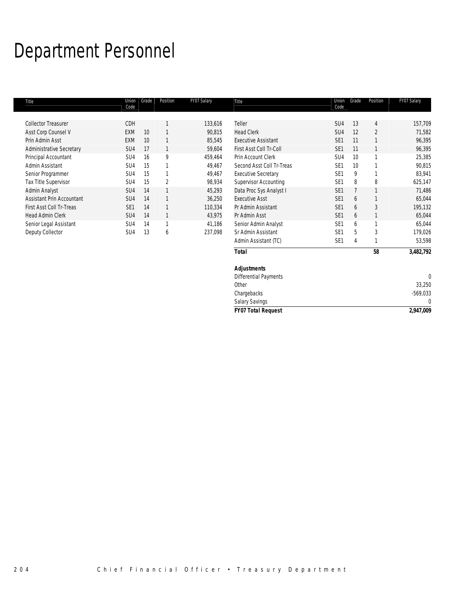# Department Personnel

| Title                           | Union<br>Code   | Grade | Position | FY07 Salary | Title                        | Union<br>Code   | Grade | Position       | FY07 Salary |
|---------------------------------|-----------------|-------|----------|-------------|------------------------------|-----------------|-------|----------------|-------------|
| <b>Collector Treasurer</b>      | CDH             |       |          | 133,616     | Teller                       | SU4             | 13    | 4              | 157,709     |
| Asst Corp Counsel V             | <b>EXM</b>      | 10    |          | 90,815      | <b>Head Clerk</b>            | SU4             | 12    | $\overline{2}$ | 71,582      |
| Prin Admin Asst                 | <b>EXM</b>      | 10    |          | 85,545      | <b>Executive Assistant</b>   | SE <sub>1</sub> | 11    |                | 96,395      |
| <b>Administrative Secretary</b> | SU4             | 17    |          | 59,604      | First Asst Coll Tr-Coll      | SE <sub>1</sub> | 11    |                | 96,395      |
| Principal Accountant            | SU4             | 16    | 9        | 459,464     | Prin Account Clerk           | SU4             | 10    |                | 25,385      |
| Admin Assistant                 | SU4             | 15    |          | 49,467      | Second Asst Coll Tr-Treas    | SE <sub>1</sub> | 10    |                | 90,815      |
| Senior Programmer               | SU4             | 15    |          | 49,467      | <b>Executive Secretary</b>   | SE <sub>1</sub> | 9     |                | 83,941      |
| Tax Title Supervisor            | SU4             | 15    | 2        | 98,934      | <b>Supervisor Accounting</b> | SE <sub>1</sub> | 8     | 8              | 625,147     |
| Admin Analyst                   | SU4             | 14    | 1        | 45,293      | Data Proc Sys Analyst I      | SE <sub>1</sub> |       |                | 71,486      |
| Assistant Prin Accountant       | SU <sub>4</sub> | 14    |          | 36,250      | <b>Executive Asst</b>        | SE <sub>1</sub> | 6     |                | 65,044      |
| First Asst Coll Tr-Treas        | SE <sub>1</sub> | 14    |          | 110,334     | Pr Admin Assistant           | SE <sub>1</sub> | 6     | 3              | 195,132     |
| <b>Head Admin Clerk</b>         | SU <sub>4</sub> | 14    | 1        | 43,975      | Pr Admin Asst                | SE <sub>1</sub> | 6     | $\mathbf{1}$   | 65,044      |
| Senior Legal Assistant          | SU <sub>4</sub> | 14    | 1        | 41,186      | Senior Admin Analyst         | SE <sub>1</sub> | 6     |                | 65,044      |
| Deputy Collector                | SU4             | 13    | 6        | 237,098     | Sr Admin Assistant           | SE <sub>1</sub> | 5     | 3              | 179,026     |
|                                 |                 |       |          |             | Admin Assistant (TC)         | SE <sub>1</sub> | 4     |                | 53,598      |
|                                 |                 |       |          |             | <b>Total</b>                 |                 |       | 58             | 3,482,792   |
|                                 |                 |       |          |             | <b>Adjustments</b>           |                 |       |                |             |
|                                 |                 |       |          |             | <b>Differential Payments</b> |                 |       |                | $\Omega$    |
|                                 |                 |       |          |             | Other                        |                 |       |                | 33,250      |

Salary Savings

Chargebacks -569,033<br>
Salary Savings 0

*FY07 Total Request 2,947,009*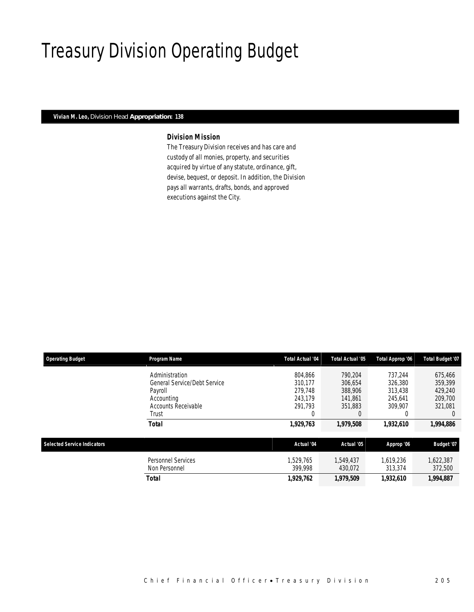# Treasury Division Operating Budget

#### *Vivian M. Leo, Division Head Appropriation: 138*

### *Division Mission*

The Treasury Division receives and has care and custody of all monies, property, and securities acquired by virtue of any statute, ordinance, gift, devise, bequest, or deposit. In addition, the Division pays all warrants, drafts, bonds, and approved executions against the City.

| <b>Operating Budget</b>            | Program Name                        | <b>Total Actual '04</b> | Total Actual '05     | Total Approp '06     | Total Budget '07     |
|------------------------------------|-------------------------------------|-------------------------|----------------------|----------------------|----------------------|
|                                    | Administration                      | 804.866                 | 790.204              | 737.244              | 675,466              |
|                                    | <b>General Service/Debt Service</b> | 310.177                 | 306.654              | 326,380              | 359.399              |
|                                    | Payroll                             | 279.748                 | 388,906              | 313,438              | 429,240              |
|                                    | Accounting                          | 243.179                 | 141.861              | 245.641              | 209.700              |
|                                    | <b>Accounts Receivable</b>          | 291.793                 | 351.883              | 309.907              | 321.081              |
|                                    | Trust                               |                         |                      |                      | $\Omega$             |
|                                    | <b>Total</b>                        | 1,929,763               | 1,979,508            | 1,932,610            | 1,994,886            |
| <b>Selected Service Indicators</b> |                                     | Actual '04              | Actual '05           | Approp '06           | Budget '07           |
|                                    | Personnel Services<br>Non Personnel | 1.529.765<br>399.998    | 1.549.437<br>430.072 | 1.619.236<br>313,374 | 1,622,387<br>372,500 |
|                                    | Total                               | 1,929,762               | 1,979,509            | 1,932,610            | 1,994,887            |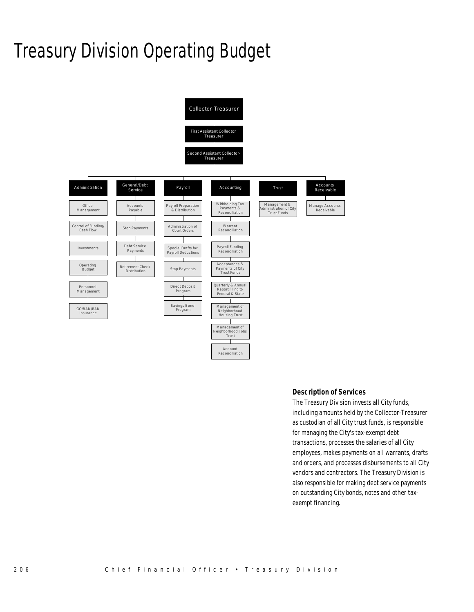# Treasury Division Operating Budget



#### *Description of Services*

The Treasury Division invests all City funds, including amounts held by the Collector-Treasurer as custodian of all City trust funds, is responsible for managing the City's tax-exempt debt transactions, processes the salaries of all City employees, makes payments on all warrants, drafts and orders, and processes disbursements to all City vendors and contractors. The Treasury Division is also responsible for making debt service payments on outstanding City bonds, notes and other taxexempt financing.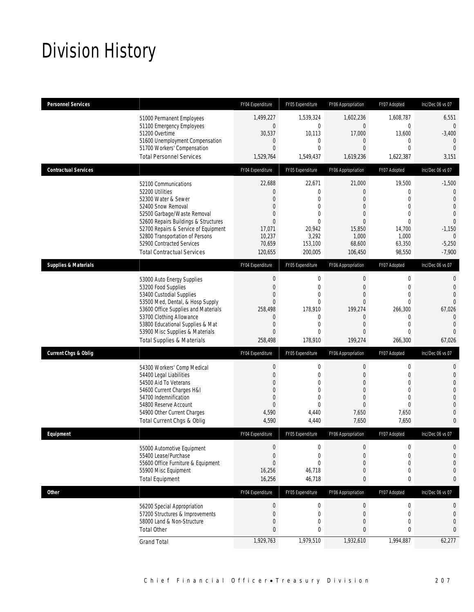# Division History

| <b>Personnel Services</b>       |                                                                                                                                                                                                                                                                                                          | FY04 Expenditure                                                                                                          | FY05 Expenditure                                                                                          | FY06 Appropriation                                                                                                                         | FY07 Adopted                                                                               | Inc/Dec 06 vs 07                                                                                                                                   |
|---------------------------------|----------------------------------------------------------------------------------------------------------------------------------------------------------------------------------------------------------------------------------------------------------------------------------------------------------|---------------------------------------------------------------------------------------------------------------------------|-----------------------------------------------------------------------------------------------------------|--------------------------------------------------------------------------------------------------------------------------------------------|--------------------------------------------------------------------------------------------|----------------------------------------------------------------------------------------------------------------------------------------------------|
|                                 | 51000 Permanent Employees<br>51100 Emergency Employees<br>51200 Overtime<br>51600 Unemployment Compensation<br>51700 Workers' Compensation                                                                                                                                                               | 1,499,227<br>$\boldsymbol{0}$<br>30,537<br>$\mathbf 0$<br>$\mathbf{0}$                                                    | 1,539,324<br>0<br>10,113<br>0<br>$\overline{0}$                                                           | 1,602,236<br>$\mathbf{0}$<br>17,000<br>$\overline{0}$<br>$\Omega$                                                                          | 1,608,787<br>$\mathbf 0$<br>13,600<br>0<br>$\mathbf 0$                                     | 6,551<br>$\overline{0}$<br>$-3,400$<br>$\mathbf{0}$<br>$\overline{0}$                                                                              |
|                                 | <b>Total Personnel Services</b>                                                                                                                                                                                                                                                                          | 1,529,764                                                                                                                 | 1,549,437                                                                                                 | 1,619,236                                                                                                                                  | 1,622,387                                                                                  | 3,151                                                                                                                                              |
| <b>Contractual Services</b>     |                                                                                                                                                                                                                                                                                                          | FY04 Expenditure                                                                                                          | FY05 Expenditure                                                                                          | FY06 Appropriation                                                                                                                         | FY07 Adopted                                                                               | Inc/Dec 06 vs 07                                                                                                                                   |
|                                 | 52100 Communications<br>52200 Utilities<br>52300 Water & Sewer<br>52400 Snow Removal<br>52500 Garbage/Waste Removal<br>52600 Repairs Buildings & Structures<br>52700 Repairs & Service of Equipment<br>52800 Transportation of Persons<br>52900 Contracted Services<br><b>Total Contractual Services</b> | 22,688<br>$\theta$<br>$\mathbf{0}$<br>$\theta$<br>$\theta$<br>$\theta$<br>17,071<br>10,237<br>70,659<br>120,655           | 22,671<br>0<br>$\mathbf{0}$<br>0<br>$\Omega$<br>$\theta$<br>20,942<br>3,292<br>153,100<br>200,005         | 21,000<br>$\overline{0}$<br>$\mathbf{0}$<br>$\mathbf{0}$<br>$\overline{0}$<br>$\mathbf{0}$<br>15,850<br>1,000<br>68,600<br>106,450         | 19,500<br>0<br>$\mathbf 0$<br>$\mathbf 0$<br>0<br>0<br>14,700<br>1,000<br>63,350<br>98,550 | $-1,500$<br>$\overline{0}$<br>$\overline{0}$<br>$\overline{0}$<br>$\overline{0}$<br>$\overline{0}$<br>$-1,150$<br>$\Omega$<br>$-5,250$<br>$-7,900$ |
| <b>Supplies &amp; Materials</b> |                                                                                                                                                                                                                                                                                                          | FY04 Expenditure                                                                                                          | FY05 Expenditure                                                                                          | FY06 Appropriation                                                                                                                         | FY07 Adopted                                                                               | Inc/Dec 06 vs 07                                                                                                                                   |
|                                 | 53000 Auto Energy Supplies<br>53200 Food Supplies<br>53400 Custodial Supplies<br>53500 Med, Dental, & Hosp Supply<br>53600 Office Supplies and Materials<br>53700 Clothing Allowance<br>53800 Educational Supplies & Mat<br>53900 Misc Supplies & Materials<br><b>Total Supplies &amp; Materials</b>     | $\mathbf 0$<br>$\mathbf{0}$<br>$\mathbf{0}$<br>$\theta$<br>258,498<br>$\theta$<br>$\mathbf{0}$<br>$\mathbf{0}$<br>258,498 | $\boldsymbol{0}$<br>$\mathbf{0}$<br>$\overline{0}$<br>0<br>178,910<br>0<br>$\overline{0}$<br>0<br>178,910 | $\boldsymbol{0}$<br>$\mathbf{0}$<br>$\mathbf{0}$<br>$\overline{0}$<br>199,274<br>$\overline{0}$<br>$\mathbf{0}$<br>$\mathbf{0}$<br>199,274 | $\boldsymbol{0}$<br>$\mathbf 0$<br>0<br>0<br>266,300<br>0<br>$\mathbf 0$<br>0<br>266,300   | $\mathbf 0$<br>$\overline{0}$<br>$\overline{0}$<br>$\overline{0}$<br>67,026<br>$\overline{0}$<br>$\overline{0}$<br>$\Omega$<br>67,026              |
| <b>Current Chgs &amp; Oblig</b> |                                                                                                                                                                                                                                                                                                          | FY04 Expenditure                                                                                                          | FY05 Expenditure                                                                                          | FY06 Appropriation                                                                                                                         | FY07 Adopted                                                                               | Inc/Dec 06 vs 07                                                                                                                                   |
|                                 | 54300 Workers' Comp Medical<br>54400 Legal Liabilities<br>54500 Aid To Veterans<br>54600 Current Charges H&I<br>54700 Indemnification<br>54800 Reserve Account<br>54900 Other Current Charges<br>Total Current Chgs & Oblig                                                                              | $\boldsymbol{0}$<br>$\mathbf{0}$<br>$\overline{0}$<br>$\theta$<br>$\mathbf{0}$<br>$\mathbf{0}$<br>4,590<br>4,590          | 0<br>$\mathbf{0}$<br>$\overline{0}$<br>$\Omega$<br>$\mathbf{0}$<br>$\Omega$<br>4,440<br>4,440             | 0<br>$\mathbf{0}$<br>$\mathbf{0}$<br>$\overline{0}$<br>$\boldsymbol{0}$<br>$\overline{0}$<br>7,650<br>7,650                                | 0<br>$\mathbf 0$<br>0<br>0<br>$\mathbf 0$<br>0<br>7,650<br>7,650                           | 0<br>$\overline{0}$<br>$\overline{0}$<br>$\overline{0}$<br>$\Omega$<br>$\overline{0}$<br>$\overline{0}$<br>$\mathbf{0}$                            |
| Equipment                       |                                                                                                                                                                                                                                                                                                          | FY04 Expenditure                                                                                                          | FY05 Expenditure                                                                                          | FY06 Appropriation                                                                                                                         | FY07 Adopted                                                                               | Inc/Dec 06 vs 07                                                                                                                                   |
|                                 | 55000 Automotive Equipment<br>55400 Lease/Purchase<br>55600 Office Furniture & Equipment<br>55900 Misc Equipment<br><b>Total Equipment</b>                                                                                                                                                               | $\boldsymbol{0}$<br>$\mathbf{0}$<br>$\theta$<br>16,256<br>16,256                                                          | $\boldsymbol{0}$<br>0<br>0<br>46,718<br>46,718                                                            | $\mathbf 0$<br>$\mathbf{0}$<br>$\overline{0}$<br>$\boldsymbol{0}$<br>0                                                                     | $\boldsymbol{0}$<br>$\boldsymbol{0}$<br>0<br>$\boldsymbol{0}$<br>0                         | $\overline{0}$<br>$\mathbf{0}$<br>$\mathbf{0}$<br>$\mathbf 0$<br>$\mathbf{0}$                                                                      |
| <b>Other</b>                    |                                                                                                                                                                                                                                                                                                          | FY04 Expenditure                                                                                                          | FY05 Expenditure                                                                                          | FY06 Appropriation                                                                                                                         | FY07 Adopted                                                                               | Inc/Dec 06 vs 07                                                                                                                                   |
|                                 | 56200 Special Appropriation<br>57200 Structures & Improvements<br>58000 Land & Non-Structure<br><b>Total Other</b>                                                                                                                                                                                       | $\mathbf 0$<br>$\mathbf 0$<br>$\mathbf{0}$<br>$\mathbf{0}$                                                                | 0<br>$\mathbf 0$<br>0<br>0                                                                                | $\boldsymbol{0}$<br>$\mathbf 0$<br>$\boldsymbol{0}$<br>0                                                                                   | 0<br>0<br>$\boldsymbol{0}$<br>0                                                            | 0<br>$\mathbf 0$<br>$\overline{0}$<br>0                                                                                                            |
|                                 | <b>Grand Total</b>                                                                                                                                                                                                                                                                                       | 1,929,763                                                                                                                 | 1,979,510                                                                                                 | 1,932,610                                                                                                                                  | 1,994,887                                                                                  | 62,277                                                                                                                                             |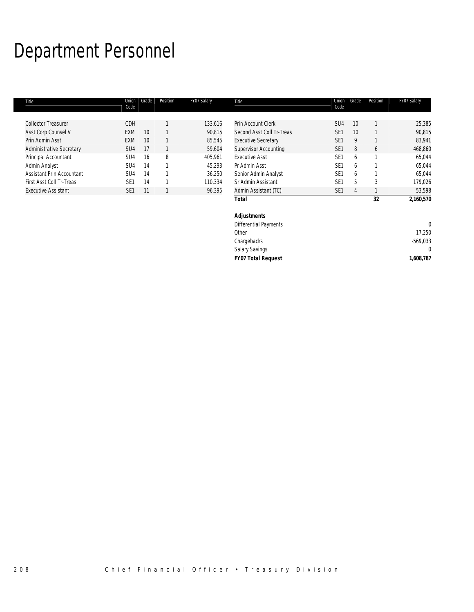# Department Personnel

| Title                           | Union<br>Code   | Grade | Position | FY07 Salary | Title                        | Union<br>Code   | Grade | Position | FY07 Salary |
|---------------------------------|-----------------|-------|----------|-------------|------------------------------|-----------------|-------|----------|-------------|
|                                 |                 |       |          |             |                              |                 |       |          |             |
| <b>Collector Treasurer</b>      | <b>CDH</b>      |       |          | 133,616     | Prin Account Clerk           | SU <sub>4</sub> | 10    |          | 25,385      |
| Asst Corp Counsel V             | <b>EXM</b>      | 10    |          | 90,815      | Second Asst Coll Tr-Treas    | SE <sub>1</sub> | 10    |          | 90,815      |
| Prin Admin Asst                 | <b>EXM</b>      | 10    |          | 85,545      | <b>Executive Secretary</b>   | SE <sub>1</sub> | 9     |          | 83,941      |
| <b>Administrative Secretary</b> | SU4             | 17    |          | 59,604      | <b>Supervisor Accounting</b> | SE <sub>1</sub> | 8     | 6        | 468,860     |
| Principal Accountant            | SU4             | 16    | 8        | 405,961     | <b>Executive Asst</b>        | SE <sub>1</sub> | 6     |          | 65,044      |
| Admin Analyst                   | SU4             | 14    |          | 45,293      | Pr Admin Asst                | SE <sub>1</sub> | 6     |          | 65,044      |
| Assistant Prin Accountant       | SU4             | 14    |          | 36,250      | Senior Admin Analyst         | SE <sub>1</sub> | 6     |          | 65,044      |
| First Asst Coll Tr-Treas        | SE <sub>1</sub> | 14    |          | 110,334     | Sr Admin Assistant           | SE <sub>1</sub> | 5     | 3        | 179,026     |
| <b>Executive Assistant</b>      | SE <sub>1</sub> | 11    |          | 96,395      | Admin Assistant (TC)         | SE <sub>1</sub> | 4     |          | 53,598      |
|                                 |                 |       |          |             | Total                        |                 |       | 32       | 2,160,570   |
|                                 |                 |       |          |             | <b>Adjustments</b>           |                 |       |          |             |
|                                 |                 |       |          |             | <b>Differential Payments</b> |                 |       |          | $\Omega$    |
|                                 |                 |       |          |             | Other                        |                 |       |          | 17,250      |
|                                 |                 |       |          |             | Chargebacks                  |                 |       |          | $-569,033$  |

Salary Savings 0 *FY07 Total Request 1,608,787*

208 Chief Financial Officer • Treasury Division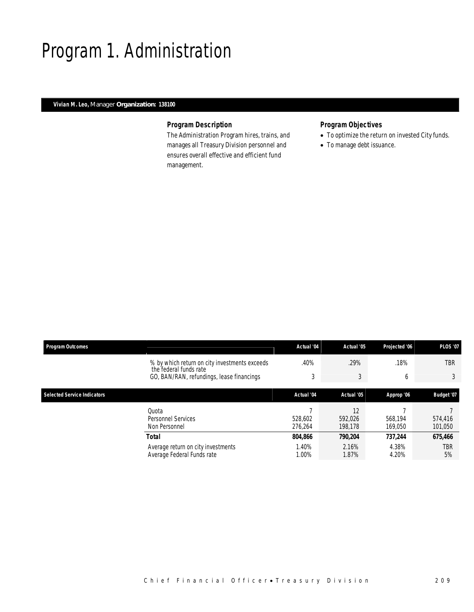# Program 1. Administration

#### *Vivian M. Leo, Manager Organization: 138100*

### *Program Description*

The Administration Program hires, trains, and manages all Treasury Division personnel and ensures overall effective and efficient fund management.

## *Program Objectives*

- To optimize the return on invested City funds.
- To manage debt issuance.

| <b>Program Outcomes</b>            |                                                                         | Actual '04         | Actual '05               | Projected '06      | <b>PLOS '07</b>    |
|------------------------------------|-------------------------------------------------------------------------|--------------------|--------------------------|--------------------|--------------------|
|                                    | % by which return on city investments exceeds<br>the federal funds rate | .40%               | .29%                     | .18%               | <b>TBR</b>         |
|                                    | GO, BAN/RAN, refundings, lease financings                               | 3                  | 3                        | 6                  | 3                  |
| <b>Selected Service Indicators</b> |                                                                         | Actual '04         | Actual '05               | Approp '06         | <b>Budget '07</b>  |
|                                    | Quota<br><b>Personnel Services</b><br>Non Personnel                     | 528.602<br>276.264 | 12<br>592.026<br>198.178 | 568.194<br>169.050 | 574,416<br>101,050 |
|                                    | <b>Total</b>                                                            | 804.866            | 790.204                  | 737.244            | 675,466            |
|                                    | Average return on city investments<br>Average Federal Funds rate        | 1.40%<br>1.00%     | 2.16%<br>1.87%           | 4.38%<br>4.20%     | TBR<br>5%          |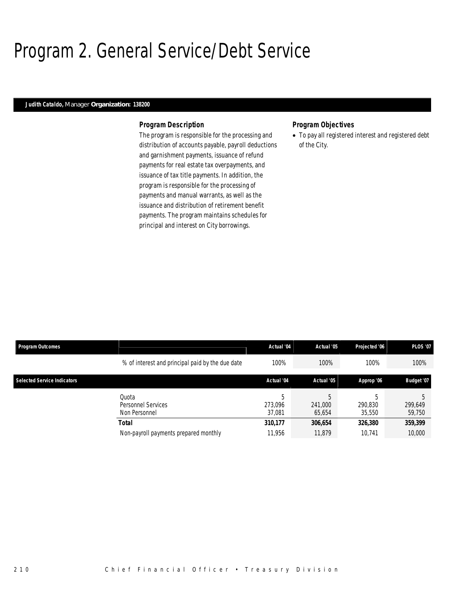## Program 2. General Service/Debt Service

## *Judith Cataldo, Manager Organization: 138200*

#### *Program Description*

The program is responsible for the processing and distribution of accounts payable, payroll deductions and garnishment payments, issuance of refund payments for real estate tax overpayments, and issuance of tax title payments. In addition, the program is responsible for the processing of payments and manual warrants, as well as the issuance and distribution of retirement benefit payments. The program maintains schedules for principal and interest on City borrowings.

#### *Program Objectives*

• To pay all registered interest and registered debt of the City.

| <b>Program Outcomes</b>            |                                                  | Actual '04             | Actual '05             | Projected '06          | <b>PLOS '07</b>   |
|------------------------------------|--------------------------------------------------|------------------------|------------------------|------------------------|-------------------|
|                                    | % of interest and principal paid by the due date | 100%                   | 100%                   | 100%                   | 100%              |
| <b>Selected Service Indicators</b> |                                                  | Actual '04             | Actual '05             | Approp '06             | Budget '07        |
|                                    | Ouota<br>Personnel Services<br>Non Personnel     | 5<br>273.096<br>37.081 | 5<br>241,000<br>65.654 | 5<br>290.830<br>35,550 | 299,649<br>59,750 |
|                                    | <b>Total</b>                                     | 310,177                | 306,654                | 326,380                | 359,399           |
|                                    | Non-payroll payments prepared monthly            | 11,956                 | 11.879                 | 10.741                 | 10,000            |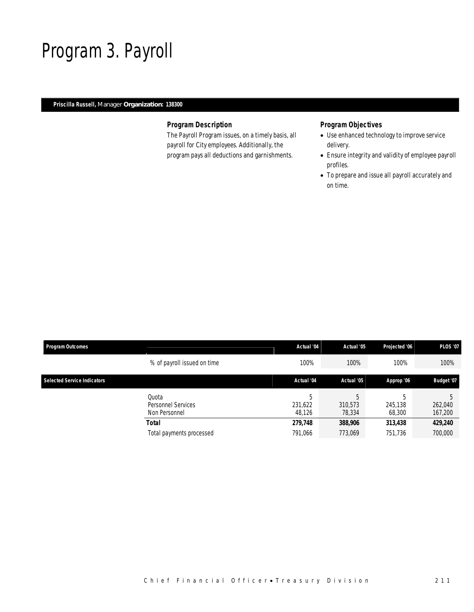## Program 3. Payroll

### *Priscilla Russell, Manager Organization: 138300*

### *Program Description*

The Payroll Program issues, on a timely basis, all payroll for City employees. Additionally, the program pays all deductions and garnishments.

## *Program Objectives*

- Use enhanced technology to improve service delivery.
- Ensure integrity and validity of employee payroll profiles.
- To prepare and issue all payroll accurately and on time.

| Program Outcomes                   |                                              | Actual '04             | Actual '05             | Projected '06          | <b>PLOS '07</b>    |
|------------------------------------|----------------------------------------------|------------------------|------------------------|------------------------|--------------------|
|                                    | % of payroll issued on time                  | 100%                   | 100%                   | 100%                   | 100%               |
| <b>Selected Service Indicators</b> |                                              | Actual '04             | Actual '05             | Approp '06             | Budget '07         |
|                                    | Quota<br>Personnel Services<br>Non Personnel | 5<br>231,622<br>48,126 | 5<br>310.573<br>78,334 | 5<br>245,138<br>68,300 | 262,040<br>167,200 |
|                                    | Total                                        | 279,748                | 388,906                | 313,438                | 429,240            |
|                                    | Total payments processed                     | 791,066                | 773,069                | 751,736                | 700,000            |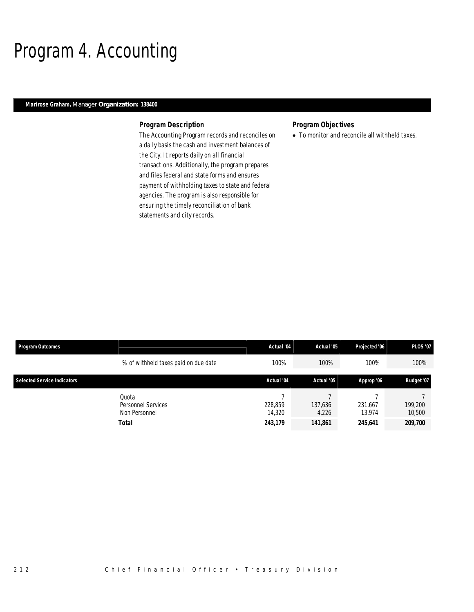# Program 4. Accounting

#### *Marirose Graham, Manager Organization: 138400*

#### *Program Description*

The Accounting Program records and reconciles on a daily basis the cash and investment balances of the City. It reports daily on all financial transactions. Additionally, the program prepares and files federal and state forms and ensures payment of withholding taxes to state and federal agencies. The program is also responsible for ensuring the timely reconciliation of bank statements and city records.

### *Program Objectives*

• To monitor and reconcile all withheld taxes.

| Program Outcomes                   |                                                       | Actual '04                   | Actual '05                  | Projected '06                | <b>PLOS '07</b>              |
|------------------------------------|-------------------------------------------------------|------------------------------|-----------------------------|------------------------------|------------------------------|
|                                    | % of withheld taxes paid on due date                  | 100%                         | 100%                        | 100%                         | 100%                         |
| <b>Selected Service Indicators</b> |                                                       | Actual '04                   | Actual '05                  | Approp '06                   | Budget '07                   |
|                                    | Quota<br>Personnel Services<br>Non Personnel<br>Total | 228.859<br>14,320<br>243,179 | 137,636<br>4,226<br>141,861 | 231,667<br>13.974<br>245.641 | 199,200<br>10,500<br>209,700 |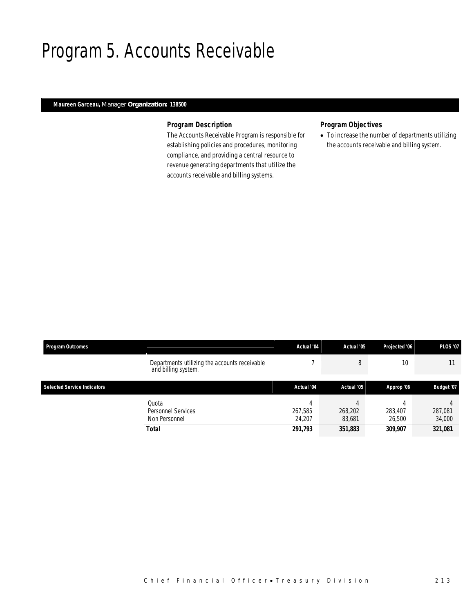## Program 5. Accounts Receivable

### *Maureen Garceau, Manager Organization: 138500*

#### *Program Description*

The Accounts Receivable Program is responsible for establishing policies and procedures, monitoring compliance, and providing a central resource to revenue generating departments that utilize the accounts receivable and billing systems.

### *Program Objectives*

• To increase the number of departments utilizing the accounts receivable and billing system.

| <b>Program Outcomes</b>            |                                                                      | Actual '04                   | Actual '05                   | Projected '06                | <b>PLOS '07</b>              |
|------------------------------------|----------------------------------------------------------------------|------------------------------|------------------------------|------------------------------|------------------------------|
|                                    | Departments utilizing the accounts receivable<br>and billing system. |                              |                              | 10 <sup>°</sup>              |                              |
| <b>Selected Service Indicators</b> |                                                                      | Actual '04                   | Actual '05                   | Approp '06                   | Budget '07                   |
|                                    | Quota<br>Personnel Services<br>Non Personnel<br><b>Total</b>         | 267.585<br>24.207<br>291,793 | 268,202<br>83,681<br>351,883 | 283,407<br>26,500<br>309,907 | 287,081<br>34,000<br>321,081 |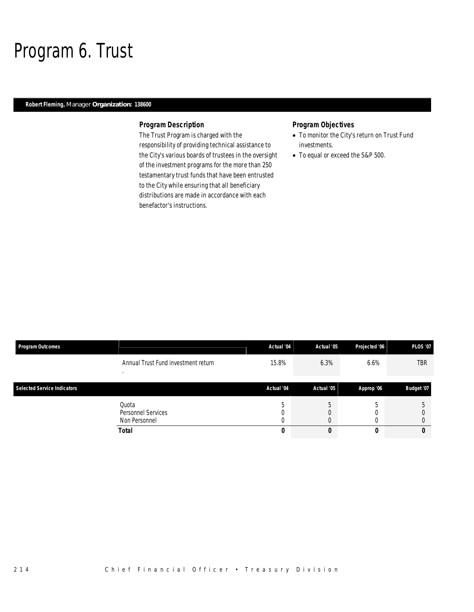## Program 6. Trust

### *Robert Fleming, Manager Organization: 138600*

#### *Program Description*

The Trust Program is charged with the responsibility of providing technical assistance to the City's various boards of trustees in the oversight of the investment programs for the more than 250 testamentary trust funds that have been entrusted to the City while ensuring that all beneficiary distributions are made in accordance with each benefactor's instructions.

### *Program Objectives*

- To monitor the City's return on Trust Fund investments.
- To equal or exceed the S&P 500.

| <b>Program Outcomes</b>            |                                              | Actual '04 | Actual '05 | Projected '06 | <b>PLOS '07</b> |
|------------------------------------|----------------------------------------------|------------|------------|---------------|-----------------|
|                                    | Annual Trust Fund investment return          | 15.8%      | 6.3%       | $6.6\%$       | <b>TBR</b>      |
| <b>Selected Service Indicators</b> |                                              | Actual '04 | Actual '05 | Approp '06    | Budget '07      |
|                                    | Quota<br>Personnel Services<br>Non Personnel |            |            |               |                 |
|                                    | <b>Total</b>                                 | 0          | О          |               |                 |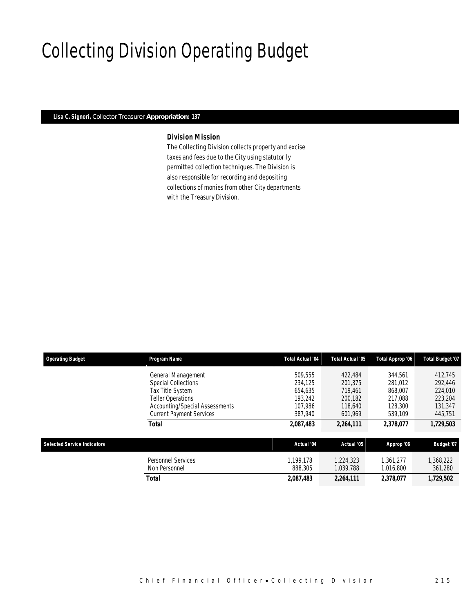# Collecting Division Operating Budget

#### *Lisa C. Signori, Collector Treasurer Appropriation: 137*

## *Division Mission*

The Collecting Division collects property and excise taxes and fees due to the City using statutorily permitted collection techniques. The Division is also responsible for recording and depositing collections of monies from other City departments with the Treasury Division.

| <b>Operating Budget</b>            | Program Name                                                                                                                       | <b>Total Actual '04</b>                             | Total Actual '05                                    | Total Approp '06                                    | <b>Total Budget '07</b>                                                     |  |
|------------------------------------|------------------------------------------------------------------------------------------------------------------------------------|-----------------------------------------------------|-----------------------------------------------------|-----------------------------------------------------|-----------------------------------------------------------------------------|--|
|                                    | General Management<br><b>Special Collections</b><br>Tax Title System<br><b>Teller Operations</b><br>Accounting/Special Assessments | 509.555<br>234.125<br>654.635<br>193.242<br>107.986 | 422,484<br>201,375<br>719.461<br>200.182<br>118,640 | 344.561<br>281.012<br>868,007<br>217.088<br>128,300 | 412,745<br>292,446<br>224,010<br>223,204<br>131,347<br>445,751<br>1,729,503 |  |
|                                    | <b>Current Payment Services</b><br><b>Total</b>                                                                                    | 387.940<br>2,087,483                                | 601.969<br>2,264,111                                | 539.109<br>2,378,077                                |                                                                             |  |
| <b>Selected Service Indicators</b> |                                                                                                                                    | Actual '04                                          | Actual '05                                          | Approp '06                                          | Budget '07                                                                  |  |
|                                    | Personnel Services<br>Non Personnel                                                                                                | 1.199.178<br>888,305                                | 1.224.323<br>1,039,788                              | 1.361.277<br>1,016,800                              | 1,368,222<br>361,280                                                        |  |
|                                    | Total                                                                                                                              | 2,087,483                                           | 2,264,111                                           | 2,378,077                                           | 1,729,502                                                                   |  |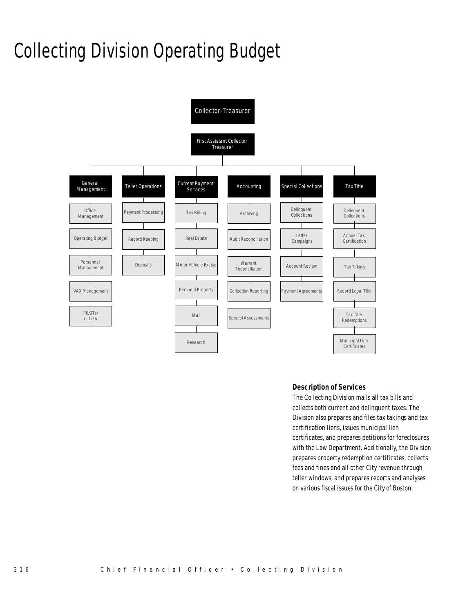# Collecting Division Operating Budget



#### *Description of Services*

The Collecting Division mails all tax bills and collects both current and delinquent taxes. The Division also prepares and files tax takings and tax certification liens, issues municipal lien certificates, and prepares petitions for foreclosures with the Law Department. Additionally, the Division prepares property redemption certificates, collects fees and fines and all other City revenue through teller windows, and prepares reports and analyses on various fiscal issues for the City of Boston.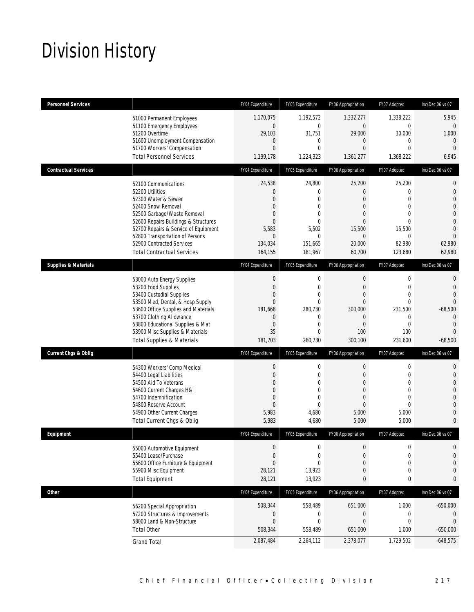# Division History

| <b>Personnel Services</b>       |                                                                                                                                                                                                                                                                                                          | FY04 Expenditure                                                                                                              | FY05 Expenditure                                                                                        | FY06 Appropriation                                                                                                         | FY07 Adopted                                                                      | Inc/Dec 06 vs 07                                                                                                                                 |
|---------------------------------|----------------------------------------------------------------------------------------------------------------------------------------------------------------------------------------------------------------------------------------------------------------------------------------------------------|-------------------------------------------------------------------------------------------------------------------------------|---------------------------------------------------------------------------------------------------------|----------------------------------------------------------------------------------------------------------------------------|-----------------------------------------------------------------------------------|--------------------------------------------------------------------------------------------------------------------------------------------------|
|                                 | 51000 Permanent Employees<br>51100 Emergency Employees<br>51200 Overtime<br>51600 Unemployment Compensation<br>51700 Workers' Compensation<br><b>Total Personnel Services</b>                                                                                                                            | 1.170.075<br>$\mathbf{0}$<br>29,103<br>$\mathbf 0$<br>$\overline{0}$<br>1,199,178                                             | 1,192,572<br>0<br>31,751<br>0<br>0<br>1,224,323                                                         | 1,332,277<br>$\mathbf{0}$<br>29,000<br>$\mathbf{0}$<br>$\Omega$<br>1,361,277                                               | 1,338,222<br>$\mathbf 0$<br>30,000<br>0<br>$\Omega$<br>1,368,222                  | 5,945<br>$\overline{0}$<br>1,000<br>$\theta$<br>$\mathbf{0}$<br>6,945                                                                            |
| <b>Contractual Services</b>     |                                                                                                                                                                                                                                                                                                          | FY04 Expenditure                                                                                                              | FY05 Expenditure                                                                                        | FY06 Appropriation                                                                                                         | FY07 Adopted                                                                      | Inc/Dec 06 vs 07                                                                                                                                 |
|                                 | 52100 Communications<br>52200 Utilities<br>52300 Water & Sewer<br>52400 Snow Removal<br>52500 Garbage/Waste Removal<br>52600 Repairs Buildings & Structures<br>52700 Repairs & Service of Equipment<br>52800 Transportation of Persons<br>52900 Contracted Services<br><b>Total Contractual Services</b> | 24,538<br>$\theta$<br>$\mathbf{0}$<br>$\mathbf{0}$<br>$\mathbf{0}$<br>$\mathbf{0}$<br>5,583<br>$\theta$<br>134,034<br>164,155 | 24,800<br>0<br>$\Omega$<br>0<br>$\Omega$<br>$\theta$<br>5,502<br>$\mathbf{0}$<br>151,665<br>181,967     | 25,200<br>$\overline{0}$<br>$\Omega$<br>$\mathbf{0}$<br>$\Omega$<br>$\mathbf{0}$<br>15,500<br>$\Omega$<br>20,000<br>60,700 | 25,200<br>0<br>$\Omega$<br>0<br>0<br>0<br>15,500<br>$\Omega$<br>82,980<br>123,680 | $\mathbf{0}$<br>$\mathbf{0}$<br>$\overline{0}$<br>$\Omega$<br>$\overline{0}$<br>$\overline{0}$<br>$\overline{0}$<br>$\Omega$<br>62,980<br>62,980 |
| <b>Supplies &amp; Materials</b> |                                                                                                                                                                                                                                                                                                          | FY04 Expenditure                                                                                                              | FY05 Expenditure                                                                                        | FY06 Appropriation                                                                                                         | FY07 Adopted                                                                      | Inc/Dec 06 vs 07                                                                                                                                 |
|                                 | 53000 Auto Energy Supplies<br>53200 Food Supplies<br>53400 Custodial Supplies<br>53500 Med, Dental, & Hosp Supply<br>53600 Office Supplies and Materials<br>53700 Clothing Allowance<br>53800 Educational Supplies & Mat<br>53900 Misc Supplies & Materials<br><b>Total Supplies &amp; Materials</b>     | $\mathbf 0$<br>$\mathbf{0}$<br>$\mathbf 0$<br>$\mathbf{0}$<br>181,668<br>$\theta$<br>$\mathbf{0}$<br>35<br>181,703            | 0<br>$\mathbf{0}$<br>$\overline{0}$<br>0<br>280,730<br>0<br>$\overline{0}$<br>$\overline{0}$<br>280,730 | 0<br>$\mathbf{0}$<br>$\mathbf{0}$<br>$\Omega$<br>300,000<br>$\overline{0}$<br>$\Omega$<br>100<br>300,100                   | 0<br>0<br>0<br>0<br>231,500<br>0<br>$\theta$<br>100<br>231,600                    | $\mathbf 0$<br>$\overline{0}$<br>$\Omega$<br>$\overline{0}$<br>$-68,500$<br>$\overline{0}$<br>$\Omega$<br>$\Omega$<br>$-68,500$                  |
| <b>Current Chgs &amp; Oblig</b> |                                                                                                                                                                                                                                                                                                          | FY04 Expenditure                                                                                                              | FY05 Expenditure                                                                                        | FY06 Appropriation                                                                                                         | FY07 Adopted                                                                      | Inc/Dec 06 vs 07                                                                                                                                 |
|                                 | 54300 Workers' Comp Medical<br>54400 Legal Liabilities<br>54500 Aid To Veterans<br>54600 Current Charges H&I<br>54700 Indemnification<br>54800 Reserve Account<br>54900 Other Current Charges<br><b>Total Current Chgs &amp; Oblig</b>                                                                   | $\mathbf 0$<br>$\theta$<br>$\overline{0}$<br>$\theta$<br>$\theta$<br>$\mathbf{0}$<br>5,983<br>5,983                           | $\mathbf 0$<br>0<br>0<br>$\Omega$<br>$\mathbf{0}$<br>$\overline{0}$<br>4,680<br>4,680                   | 0<br>$\overline{0}$<br>$\mathbf{0}$<br>$\mathbf{0}$<br>$\overline{0}$<br>$\overline{0}$<br>5,000<br>5,000                  | 0<br>0<br>0<br>0<br>0<br>$\mathbf 0$<br>5,000<br>5,000                            | 0<br>$\overline{0}$<br>$\Omega$<br>$\overline{0}$<br>$\Omega$<br>$\overline{0}$<br>$\overline{0}$<br>$\mathbf{0}$                                |
| Equipment                       |                                                                                                                                                                                                                                                                                                          | FY04 Expenditure                                                                                                              | FY05 Expenditure                                                                                        | FY06 Appropriation                                                                                                         | FY07 Adopted                                                                      | Inc/Dec 06 vs 07                                                                                                                                 |
|                                 | 55000 Automotive Equipment<br>55400 Lease/Purchase<br>55600 Office Furniture & Equipment<br>55900 Misc Equipment<br><b>Total Equipment</b>                                                                                                                                                               | $\theta$<br>$\Omega$<br>$\mathbf{0}$<br>28,121<br>28,121                                                                      | 0<br>$\Omega$<br>0<br>13,923<br>13,923                                                                  | 0<br>$\overline{0}$<br>$\overline{0}$<br>0<br>0                                                                            | 0<br>0<br>0<br>$\boldsymbol{0}$<br>0                                              | $\mathbf 0$<br>$\mathbf{0}$<br>$\mathbf{0}$<br>$\overline{0}$<br>0                                                                               |
| <b>Other</b>                    |                                                                                                                                                                                                                                                                                                          | FY04 Expenditure                                                                                                              | FY05 Expenditure                                                                                        | FY06 Appropriation                                                                                                         | FY07 Adopted                                                                      | Inc/Dec 06 vs 07                                                                                                                                 |
|                                 | 56200 Special Appropriation<br>57200 Structures & Improvements<br>58000 Land & Non-Structure<br><b>Total Other</b>                                                                                                                                                                                       | 508,344<br>$\mathbf 0$<br>$\boldsymbol{0}$<br>508,344                                                                         | 558,489<br>0<br>$\mathbf 0$<br>558,489                                                                  | 651,000<br>0<br>0<br>651,000                                                                                               | 1,000<br>0<br>0<br>1,000                                                          | $-650,000$<br>0<br>$\mathbf 0$<br>$-650,000$                                                                                                     |
|                                 | <b>Grand Total</b>                                                                                                                                                                                                                                                                                       | 2,087,484                                                                                                                     | 2,264,112                                                                                               | 2,378,077                                                                                                                  | 1,729,502                                                                         | $-648,575$                                                                                                                                       |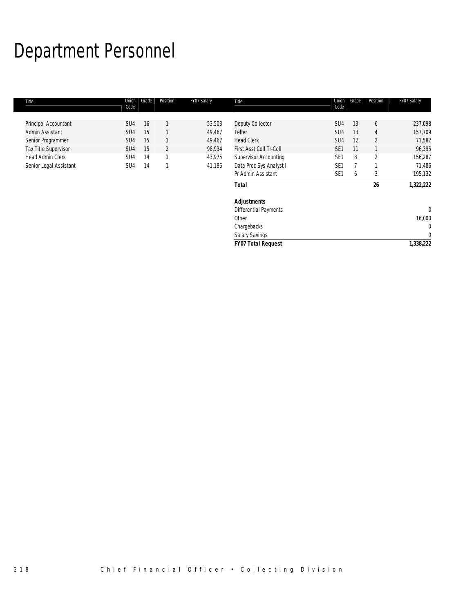# Department Personnel

| Title                   | Union<br>Code   | Grade | Position       | FY07 Salary | Title                        | Union<br>Code   | Grade | Position       | FY07 Salary |
|-------------------------|-----------------|-------|----------------|-------------|------------------------------|-----------------|-------|----------------|-------------|
|                         |                 |       |                |             |                              |                 |       |                |             |
| Principal Accountant    | SU <sub>4</sub> | 16    |                | 53,503      | Deputy Collector             | SU <sub>4</sub> | 13    | 6              | 237,098     |
| Admin Assistant         | SU <sub>4</sub> | 15    |                | 49,467      | Teller                       | SU <sub>4</sub> | 13    | 4              | 157,709     |
| Senior Programmer       | SU <sub>4</sub> | 15    |                | 49,467      | <b>Head Clerk</b>            | SU <sub>4</sub> | 12    | $\overline{2}$ | 71,582      |
| Tax Title Supervisor    | SU <sub>4</sub> | 15    | $\overline{2}$ | 98,934      | First Asst Coll Tr-Coll      | SE <sub>1</sub> | 11    |                | 96,395      |
| <b>Head Admin Clerk</b> | SU4             | 14    | 1              | 43,975      | <b>Supervisor Accounting</b> | SE <sub>1</sub> | 8     | $\overline{2}$ | 156,287     |
| Senior Legal Assistant  | SU4             | 14    | 1              | 41,186      | Data Proc Sys Analyst I      | SE <sub>1</sub> |       |                | 71,486      |
|                         |                 |       |                |             | Pr Admin Assistant           | SE <sub>1</sub> | 6     | 3              | 195,132     |
|                         |                 |       |                |             | <b>Total</b>                 |                 |       | 26             | 1,322,222   |
|                         |                 |       |                |             | <b>Adjustments</b>           |                 |       |                |             |
|                         |                 |       |                |             | <b>Differential Payments</b> |                 |       |                | $\mathbf 0$ |
|                         |                 |       |                |             | Other                        |                 |       |                | 16,000      |
|                         |                 |       |                |             | Chargebacks                  |                 |       |                | 0           |
|                         |                 |       |                |             | <b>Salary Savings</b>        |                 |       |                | $\mathbf 0$ |
|                         |                 |       |                |             | <b>FY07 Total Request</b>    |                 |       |                | 1,338,222   |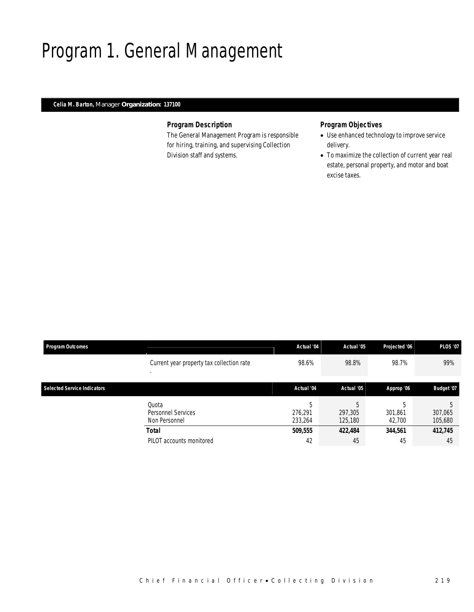# Program 1. General Management

### *Celia M. Barton, Manager Organization: 137100*

#### *Program Description*

The General Management Program is responsible for hiring, training, and supervising Collection Division staff and systems.

## *Program Objectives*

- Use enhanced technology to improve service delivery.
- To maximize the collection of current year real estate, personal property, and motor and boat excise taxes.

| <b>Program Outcomes</b>            |                                              | Actual '04              | Actual '05              | Projected '06           | <b>PLOS '07</b>    |
|------------------------------------|----------------------------------------------|-------------------------|-------------------------|-------------------------|--------------------|
|                                    | Current year property tax collection rate    | 98.6%                   | 98.8%                   | 98.7%                   | 99%                |
| <b>Selected Service Indicators</b> |                                              | Actual '04              | Actual '05              | Approp '06              | Budget '07         |
|                                    | Ouota<br>Personnel Services<br>Non Personnel | 5<br>276.291<br>233,264 | 5<br>297,305<br>125,180 | .h<br>301,861<br>42,700 | 307,065<br>105,680 |
|                                    | <b>Total</b>                                 | 509,555                 | 422,484                 | 344,561                 | 412,745            |
|                                    | PILOT accounts monitored                     | 42                      | 45                      | 45                      | 45                 |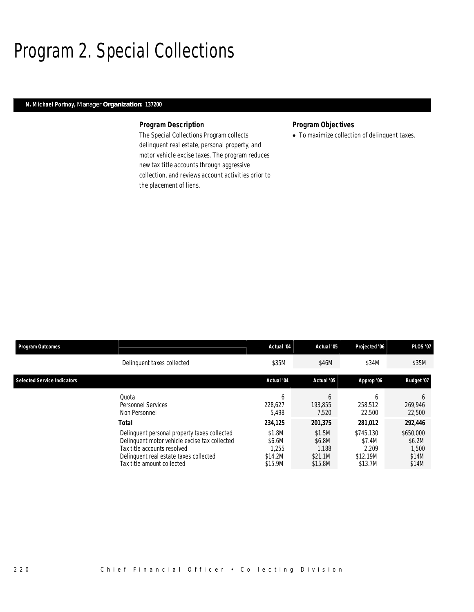# Program 2. Special Collections

### *N. Michael Portnoy, Manager Organization: 137200*

#### *Program Description*

The Special Collections Program collects delinquent real estate, personal property, and motor vehicle excise taxes. The program reduces new tax title accounts through aggressive collection, and reviews account activities prior to the placement of liens.

## *Program Objectives*

• To maximize collection of delinquent taxes.

| <b>Program Outcomes</b>            |                                                                                                                                                                                                               | Actual '04                                                 | Actual '05                                                 | Projected '06                                                  | <b>PLOS '07</b>                                           |
|------------------------------------|---------------------------------------------------------------------------------------------------------------------------------------------------------------------------------------------------------------|------------------------------------------------------------|------------------------------------------------------------|----------------------------------------------------------------|-----------------------------------------------------------|
|                                    | Delinguent taxes collected                                                                                                                                                                                    | \$35M                                                      | \$46M                                                      | \$34M                                                          | \$35M                                                     |
| <b>Selected Service Indicators</b> |                                                                                                                                                                                                               | Actual '04                                                 | Actual '05                                                 | Approp '06                                                     | Budget '07                                                |
|                                    | Ouota<br><b>Personnel Services</b><br>Non Personnel                                                                                                                                                           | <sub>b</sub><br>228.627<br>5.498                           | b<br>193.855<br>7.520                                      | h<br>258,512<br>22,500                                         | <sub>b</sub><br>269,946<br>22,500                         |
|                                    | Total<br>Delinquent personal property taxes collected<br>Delinquent motor vehicle excise tax collected<br>Tax title accounts resolved<br>Delinquent real estate taxes collected<br>Tax title amount collected | 234,125<br>\$1.8M<br>\$6.6M<br>1,255<br>\$14.2M<br>\$15.9M | 201,375<br>\$1.5M<br>\$6.8M<br>1.188<br>\$21.1M<br>\$15.8M | 281.012<br>\$745,130<br>\$7.4M<br>2.209<br>\$12.19M<br>\$13.7M | 292,446<br>\$650,000<br>\$6.2M<br>1,500<br>\$14M<br>\$14M |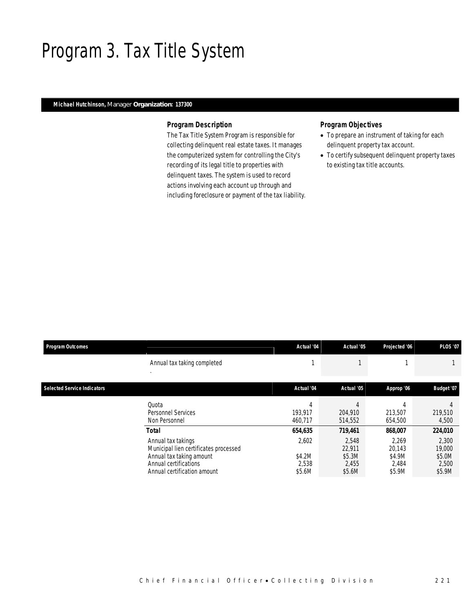## Program 3. Tax Title System

### *Michael Hutchinson, Manager Organization: 137300*

#### *Program Description*

The Tax Title System Program is responsible for collecting delinquent real estate taxes. It manages the computerized system for controlling the City's recording of its legal title to properties with delinquent taxes. The system is used to record actions involving each account up through and including foreclosure or payment of the tax liability.

### *Program Objectives*

- To prepare an instrument of taking for each delinquent property tax account.
- To certify subsequent delinquent property taxes to existing tax title accounts.

| <b>Program Outcomes</b>            |                                                                                                                                                                 | Actual '04                                    | Actual '05                                              | Projected '06                                           | <b>PLOS '07</b>                                         |
|------------------------------------|-----------------------------------------------------------------------------------------------------------------------------------------------------------------|-----------------------------------------------|---------------------------------------------------------|---------------------------------------------------------|---------------------------------------------------------|
|                                    | Annual tax taking completed                                                                                                                                     |                                               |                                                         |                                                         |                                                         |
| <b>Selected Service Indicators</b> |                                                                                                                                                                 | Actual '04                                    | Actual '05                                              | Approp '06                                              | Budget '07                                              |
|                                    | Quota<br><b>Personnel Services</b><br>Non Personnel                                                                                                             | 193.917<br>460.717                            | 204,910<br>514,552                                      | 213,507<br>654,500                                      | 219,510<br>4,500                                        |
|                                    | <b>Total</b><br>Annual tax takings<br>Municipal lien certificates processed<br>Annual tax taking amount<br>Annual certifications<br>Annual certification amount | 654,635<br>2,602<br>\$4.2M<br>2,538<br>\$5.6M | 719,461<br>2.548<br>22,911<br>\$5.3M<br>2,455<br>\$5.6M | 868,007<br>2.269<br>20,143<br>\$4.9M<br>2,484<br>\$5.9M | 224,010<br>2,300<br>19,000<br>\$5.0M<br>2,500<br>\$5.9M |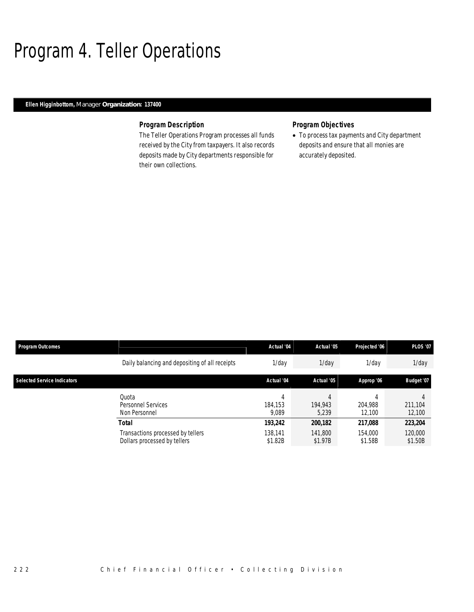## Program 4. Teller Operations

### *Ellen Higginbottom, Manager Organization: 137400*

### *Program Description*

The Teller Operations Program processes all funds received by the City from taxpayers. It also records deposits made by City departments responsible for their own collections.

### *Program Objectives*

• To process tax payments and City department deposits and ensure that all monies are accurately deposited.

| <b>Program Outcomes</b>            |                                                                   | Actual '04         | Actual '05         | Projected '06      | <b>PLOS '07</b>    |
|------------------------------------|-------------------------------------------------------------------|--------------------|--------------------|--------------------|--------------------|
|                                    | Daily balancing and depositing of all receipts                    | 1/dav              | $1$ /day           | $1$ /day           | $1$ /day           |
| <b>Selected Service Indicators</b> |                                                                   | Actual '04         | Actual '05         | Approp '06         | Budget '07         |
|                                    | Quota<br>Personnel Services<br>Non Personnel                      | 184.153<br>9.089   | 194.943<br>5,239   | 204.988<br>12.100  | 211,104<br>12,100  |
|                                    | <b>Total</b>                                                      | 193,242            | 200,182            | 217,088            | 223,204            |
|                                    | Transactions processed by tellers<br>Dollars processed by tellers | 138.141<br>\$1.82B | 141.800<br>\$1.97B | 154,000<br>\$1.58B | 120,000<br>\$1.50B |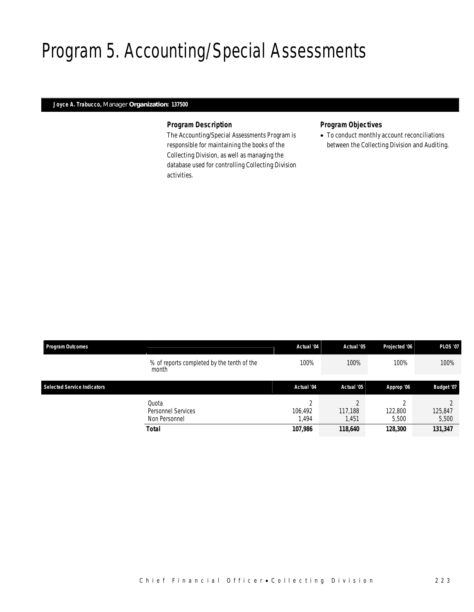# Program 5. Accounting/Special Assessments

### *Joyce A. Trabucco, Manager Organization: 137500*

#### *Program Description*

The Accounting/Special Assessments Program is responsible for maintaining the books of the Collecting Division, as well as managing the database used for controlling Collecting Division activities.

#### *Program Objectives*

• To conduct monthly account reconciliations between the Collecting Division and Auditing.

| <b>Program Outcomes</b>            |                                                              | Actual '04                            | Actual '05                  | Projected '06               | <b>PLOS '07</b>             |
|------------------------------------|--------------------------------------------------------------|---------------------------------------|-----------------------------|-----------------------------|-----------------------------|
|                                    | % of reports completed by the tenth of the<br>month          | 100%                                  | 100%                        | 100%                        | 100%                        |
| <b>Selected Service Indicators</b> |                                                              | Actual '04                            | Actual '05                  | Approp '06                  | Budget '07                  |
|                                    | Quota<br>Personnel Services<br>Non Personnel<br><b>Total</b> | $\sim$<br>106.492<br>1.494<br>107,986 | 117,188<br>1,451<br>118,640 | 122,800<br>5.500<br>128,300 | 125,847<br>5,500<br>131,347 |